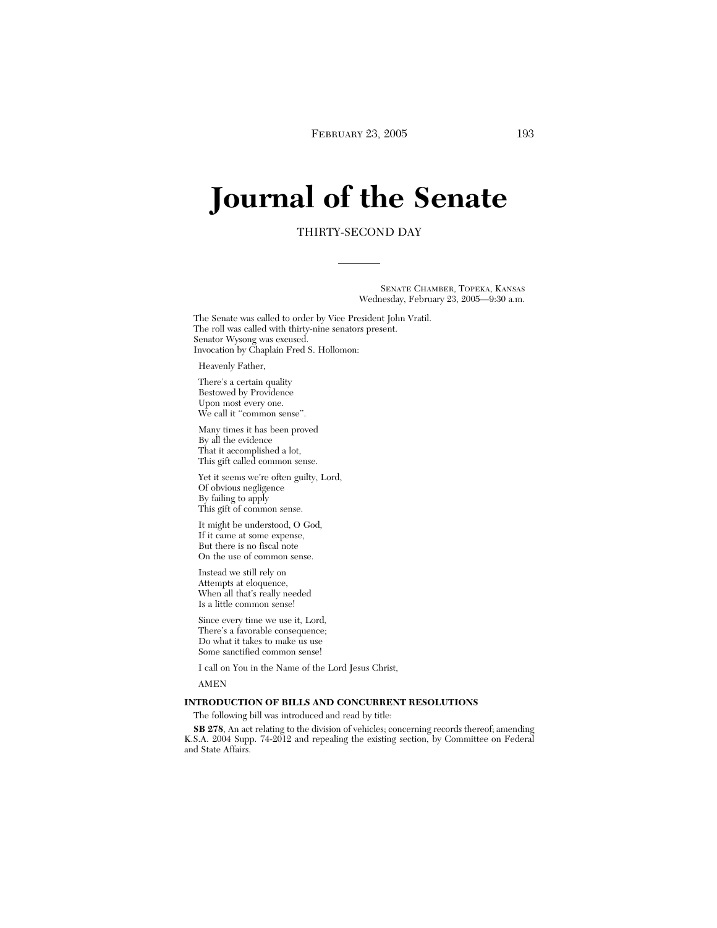# **Journal of the Senate**

# THIRTY-SECOND DAY

SENATE CHAMBER, TOPEKA, KANSAS Wednesday, February 23, 2005—9:30 a.m.

The Senate was called to order by Vice President John Vratil. The roll was called with thirty-nine senators present. Senator Wysong was excused. Invocation by Chaplain Fred S. Hollomon:

## Heavenly Father,

There's a certain quality Bestowed by Providence Upon most every one. We call it "common sense".

Many times it has been proved By all the evidence That it accomplished a lot, This gift called common sense.

Yet it seems we're often guilty, Lord, Of obvious negligence By failing to apply This gift of common sense.

It might be understood, O God, If it came at some expense, But there is no fiscal note On the use of common sense.

Instead we still rely on Attempts at eloquence, When all that's really needed Is a little common sense!

Since every time we use it, Lord, There's a favorable consequence; Do what it takes to make us use Some sanctified common sense!

I call on You in the Name of the Lord Jesus Christ,

AMEN

## **INTRODUCTION OF BILLS AND CONCURRENT RESOLUTIONS**

The following bill was introduced and read by title:

**SB 278**, An act relating to the division of vehicles; concerning records thereof; amending K.S.A. 2004 Supp. 74-2012 and repealing the existing section, by Committee on Federal and State Affairs.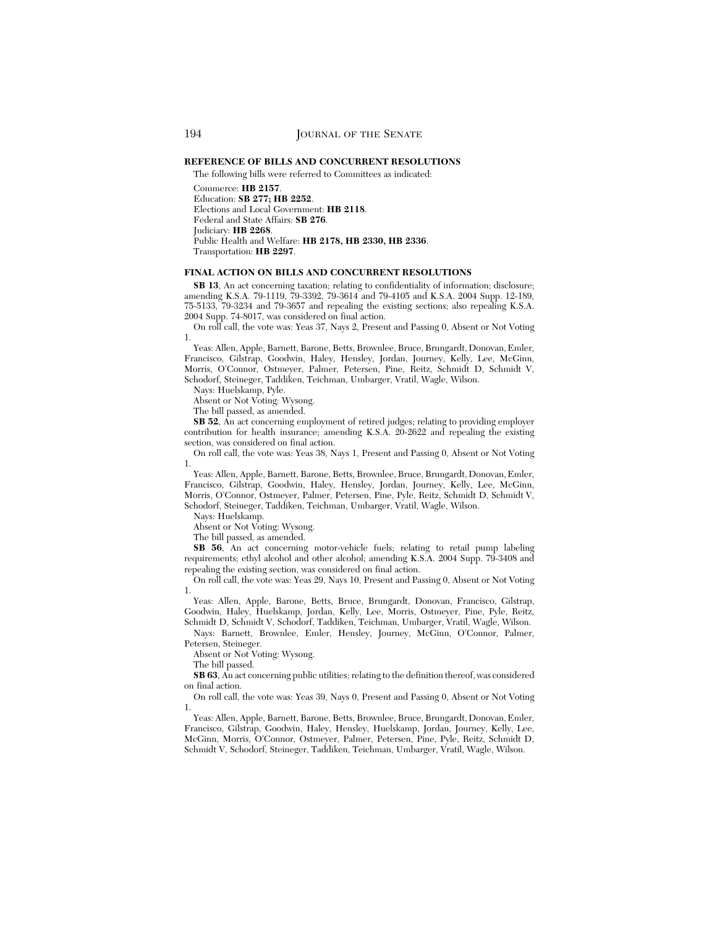## **REFERENCE OF BILLS AND CONCURRENT RESOLUTIONS**

The following bills were referred to Committees as indicated:

Commerce: **HB 2157**. Education: **SB 277; HB 2252**. Elections and Local Government: **HB 2118**. Federal and State Affairs: **SB 276**. Judiciary: **HB 2268**. Public Health and Welfare: **HB 2178, HB 2330, HB 2336**. Transportation: **HB 2297**.

## **FINAL ACTION ON BILLS AND CONCURRENT RESOLUTIONS**

**SB 13**, An act concerning taxation; relating to confidentiality of information; disclosure; amending K.S.A. 79-1119, 79-3392, 79-3614 and 79-4105 and K.S.A. 2004 Supp. 12-189, 75-5133, 79-3234 and 79-3657 and repealing the existing sections; also repealing K.S.A. 2004 Supp. 74-8017, was considered on final action.

On roll call, the vote was: Yeas 37, Nays 2, Present and Passing 0, Absent or Not Voting 1.

Yeas: Allen, Apple, Barnett, Barone, Betts, Brownlee, Bruce, Brungardt, Donovan, Emler, Francisco, Gilstrap, Goodwin, Haley, Hensley, Jordan, Journey, Kelly, Lee, McGinn, Morris, O'Connor, Ostmeyer, Palmer, Petersen, Pine, Reitz, Schmidt D, Schmidt V, Schodorf, Steineger, Taddiken, Teichman, Umbarger, Vratil, Wagle, Wilson.

Nays: Huelskamp, Pyle.

Absent or Not Voting: Wysong.

The bill passed, as amended.

**SB 52**, An act concerning employment of retired judges; relating to providing employer contribution for health insurance; amending K.S.A. 20-2622 and repealing the existing section, was considered on final action.

On roll call, the vote was: Yeas 38, Nays 1, Present and Passing 0, Absent or Not Voting 1.

Yeas: Allen, Apple, Barnett, Barone, Betts, Brownlee, Bruce, Brungardt, Donovan, Emler, Francisco, Gilstrap, Goodwin, Haley, Hensley, Jordan, Journey, Kelly, Lee, McGinn, Morris, O'Connor, Ostmeyer, Palmer, Petersen, Pine, Pyle, Reitz, Schmidt D, Schmidt V, Schodorf, Steineger, Taddiken, Teichman, Umbarger, Vratil, Wagle, Wilson.

Nays: Huelskamp.

Absent or Not Voting: Wysong.

The bill passed, as amended.

**SB 56**, An act concerning motor-vehicle fuels; relating to retail pump labeling requirements; ethyl alcohol and other alcohol; amending K.S.A. 2004 Supp. 79-3408 and repealing the existing section, was considered on final action.

On roll call, the vote was: Yeas 29, Nays 10, Present and Passing 0, Absent or Not Voting 1.

Yeas: Allen, Apple, Barone, Betts, Bruce, Brungardt, Donovan, Francisco, Gilstrap, Goodwin, Haley, Huelskamp, Jordan, Kelly, Lee, Morris, Ostmeyer, Pine, Pyle, Reitz, Schmidt D, Schmidt V, Schodorf, Taddiken, Teichman, Umbarger, Vratil, Wagle, Wilson.

Nays: Barnett, Brownlee, Emler, Hensley, Journey, McGinn, O'Connor, Palmer, Petersen, Steineger.

Absent or Not Voting: Wysong.

The bill passed.

**SB 63**, An act concerning public utilities; relating to the definition thereof, was considered on final action.

On roll call, the vote was: Yeas 39, Nays 0, Present and Passing 0, Absent or Not Voting 1.

Yeas: Allen, Apple, Barnett, Barone, Betts, Brownlee, Bruce, Brungardt, Donovan, Emler, Francisco, Gilstrap, Goodwin, Haley, Hensley, Huelskamp, Jordan, Journey, Kelly, Lee, McGinn, Morris, O'Connor, Ostmeyer, Palmer, Petersen, Pine, Pyle, Reitz, Schmidt D, Schmidt V, Schodorf, Steineger, Taddiken, Teichman, Umbarger, Vratil, Wagle, Wilson.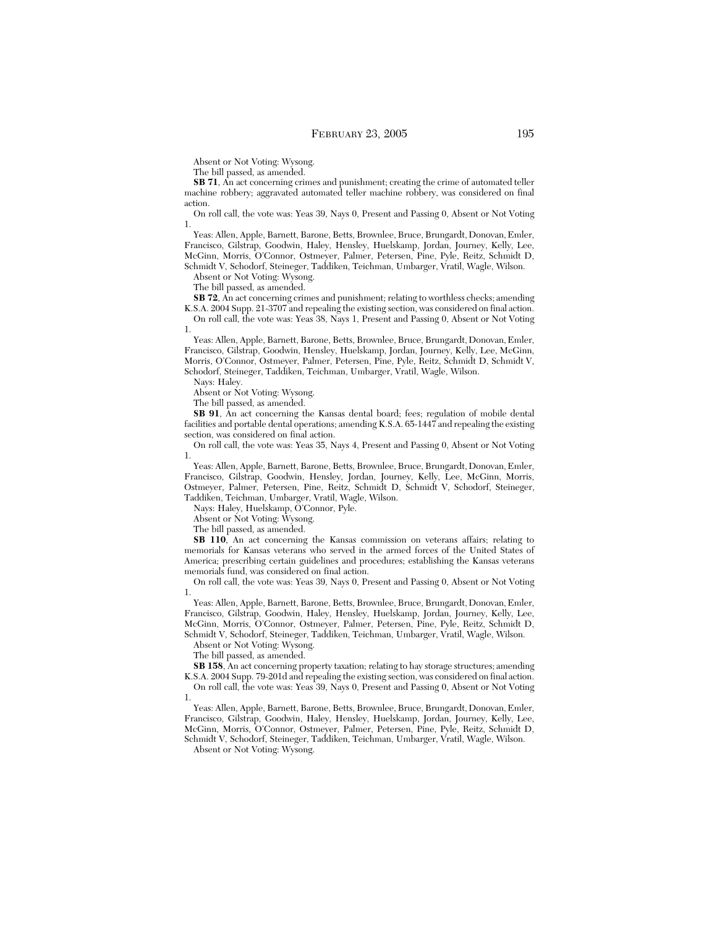Absent or Not Voting: Wysong.

The bill passed, as amended.

**SB 71**, An act concerning crimes and punishment; creating the crime of automated teller machine robbery; aggravated automated teller machine robbery, was considered on final action.

On roll call, the vote was: Yeas 39, Nays 0, Present and Passing 0, Absent or Not Voting 1.

Yeas: Allen, Apple, Barnett, Barone, Betts, Brownlee, Bruce, Brungardt, Donovan, Emler, Francisco, Gilstrap, Goodwin, Haley, Hensley, Huelskamp, Jordan, Journey, Kelly, Lee, McGinn, Morris, O'Connor, Ostmeyer, Palmer, Petersen, Pine, Pyle, Reitz, Schmidt D, Schmidt V, Schodorf, Steineger, Taddiken, Teichman, Umbarger, Vratil, Wagle, Wilson.

Absent or Not Voting: Wysong.

The bill passed, as amended.

**SB 72**, An act concerning crimes and punishment; relating to worthless checks; amending K.S.A. 2004 Supp. 21-3707 and repealing the existing section, was considered on final action.

On roll call, the vote was: Yeas 38, Nays 1, Present and Passing 0, Absent or Not Voting 1.

Yeas: Allen, Apple, Barnett, Barone, Betts, Brownlee, Bruce, Brungardt, Donovan, Emler, Francisco, Gilstrap, Goodwin, Hensley, Huelskamp, Jordan, Journey, Kelly, Lee, McGinn, Morris, O'Connor, Ostmeyer, Palmer, Petersen, Pine, Pyle, Reitz, Schmidt D, Schmidt V, Schodorf, Steineger, Taddiken, Teichman, Umbarger, Vratil, Wagle, Wilson.

Nays: Haley.

Absent or Not Voting: Wysong.

The bill passed, as amended.

**SB 91**, An act concerning the Kansas dental board; fees; regulation of mobile dental facilities and portable dental operations; amending K.S.A. 65-1447 and repealing the existing section, was considered on final action.

On roll call, the vote was: Yeas 35, Nays 4, Present and Passing 0, Absent or Not Voting 1.

Yeas: Allen, Apple, Barnett, Barone, Betts, Brownlee, Bruce, Brungardt, Donovan, Emler, Francisco, Gilstrap, Goodwin, Hensley, Jordan, Journey, Kelly, Lee, McGinn, Morris, Ostmeyer, Palmer, Petersen, Pine, Reitz, Schmidt D, Schmidt V, Schodorf, Steineger, Taddiken, Teichman, Umbarger, Vratil, Wagle, Wilson.

Nays: Haley, Huelskamp, O'Connor, Pyle.

Absent or Not Voting: Wysong.

The bill passed, as amended.

**SB 110**, An act concerning the Kansas commission on veterans affairs; relating to memorials for Kansas veterans who served in the armed forces of the United States of America; prescribing certain guidelines and procedures; establishing the Kansas veterans memorials fund, was considered on final action.

On roll call, the vote was: Yeas 39, Nays 0, Present and Passing 0, Absent or Not Voting 1.

Yeas: Allen, Apple, Barnett, Barone, Betts, Brownlee, Bruce, Brungardt, Donovan, Emler, Francisco, Gilstrap, Goodwin, Haley, Hensley, Huelskamp, Jordan, Journey, Kelly, Lee, McGinn, Morris, O'Connor, Ostmeyer, Palmer, Petersen, Pine, Pyle, Reitz, Schmidt D, Schmidt V, Schodorf, Steineger, Taddiken, Teichman, Umbarger, Vratil, Wagle, Wilson.

Absent or Not Voting: Wysong.

The bill passed, as amended.

**SB 158**, An act concerning property taxation; relating to hay storage structures; amending K.S.A. 2004 Supp. 79-201d and repealing the existing section, was considered on final action. On roll call, the vote was: Yeas 39, Nays 0, Present and Passing 0, Absent or Not Voting

1.

Yeas: Allen, Apple, Barnett, Barone, Betts, Brownlee, Bruce, Brungardt, Donovan, Emler, Francisco, Gilstrap, Goodwin, Haley, Hensley, Huelskamp, Jordan, Journey, Kelly, Lee, McGinn, Morris, O'Connor, Ostmeyer, Palmer, Petersen, Pine, Pyle, Reitz, Schmidt D, Schmidt V, Schodorf, Steineger, Taddiken, Teichman, Umbarger, Vratil, Wagle, Wilson.

Absent or Not Voting: Wysong.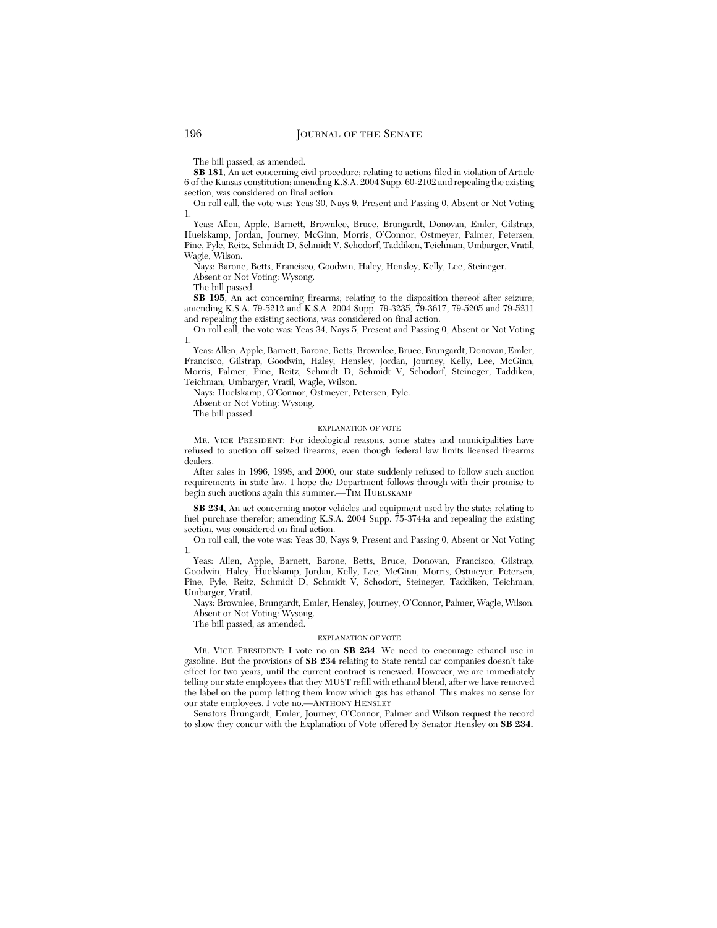The bill passed, as amended.

**SB 181**, An act concerning civil procedure; relating to actions filed in violation of Article 6 of the Kansas constitution; amending K.S.A. 2004 Supp. 60-2102 and repealing the existing section, was considered on final action.

On roll call, the vote was: Yeas 30, Nays 9, Present and Passing 0, Absent or Not Voting 1.

Yeas: Allen, Apple, Barnett, Brownlee, Bruce, Brungardt, Donovan, Emler, Gilstrap, Huelskamp, Jordan, Journey, McGinn, Morris, O'Connor, Ostmeyer, Palmer, Petersen, Pine, Pyle, Reitz, Schmidt D, Schmidt V, Schodorf, Taddiken, Teichman, Umbarger, Vratil, Wagle, Wilson.

Nays: Barone, Betts, Francisco, Goodwin, Haley, Hensley, Kelly, Lee, Steineger. Absent or Not Voting: Wysong.

The bill passed.

**SB 195**, An act concerning firearms; relating to the disposition thereof after seizure; amending K.S.A. 79-5212 and K.S.A. 2004 Supp. 79-3235, 79-3617, 79-5205 and 79-5211 and repealing the existing sections, was considered on final action.

On roll call, the vote was: Yeas 34, Nays 5, Present and Passing 0, Absent or Not Voting 1.

Yeas: Allen, Apple, Barnett, Barone, Betts, Brownlee, Bruce, Brungardt, Donovan, Emler, Francisco, Gilstrap, Goodwin, Haley, Hensley, Jordan, Journey, Kelly, Lee, McGinn, Morris, Palmer, Pine, Reitz, Schmidt D, Schmidt V, Schodorf, Steineger, Taddiken, Teichman, Umbarger, Vratil, Wagle, Wilson.

Nays: Huelskamp, O'Connor, Ostmeyer, Petersen, Pyle.

Absent or Not Voting: Wysong.

The bill passed.

#### EXPLANATION OF VOTE

MR. VICE PRESIDENT: For ideological reasons, some states and municipalities have refused to auction off seized firearms, even though federal law limits licensed firearms dealers.

After sales in 1996, 1998, and 2000, our state suddenly refused to follow such auction requirements in state law. I hope the Department follows through with their promise to begin such auctions again this summer.—TIM HUELSKAMP

**SB 234**, An act concerning motor vehicles and equipment used by the state; relating to fuel purchase therefor; amending K.S.A. 2004 Supp. 75-3744a and repealing the existing section, was considered on final action.

On roll call, the vote was: Yeas 30, Nays 9, Present and Passing 0, Absent or Not Voting 1.

Yeas: Allen, Apple, Barnett, Barone, Betts, Bruce, Donovan, Francisco, Gilstrap, Goodwin, Haley, Huelskamp, Jordan, Kelly, Lee, McGinn, Morris, Ostmeyer, Petersen, Pine, Pyle, Reitz, Schmidt D, Schmidt V, Schodorf, Steineger, Taddiken, Teichman, Umbarger, Vratil.

Nays: Brownlee, Brungardt, Emler, Hensley, Journey, O'Connor, Palmer, Wagle, Wilson. Absent or Not Voting: Wysong.

The bill passed, as amended.

#### EXPLANATION OF VOTE

MR. VICE PRESIDENT: I vote no on **SB 234**. We need to encourage ethanol use in gasoline. But the provisions of **SB 234** relating to State rental car companies doesn't take effect for two years, until the current contract is renewed. However, we are immediately telling our state employees that they MUST refill with ethanol blend, after we have removed the label on the pump letting them know which gas has ethanol. This makes no sense for our state employees. I vote no.—ANTHONY HENSLEY

Senators Brungardt, Emler, Journey, O'Connor, Palmer and Wilson request the record to show they concur with the Explanation of Vote offered by Senator Hensley on **SB 234.**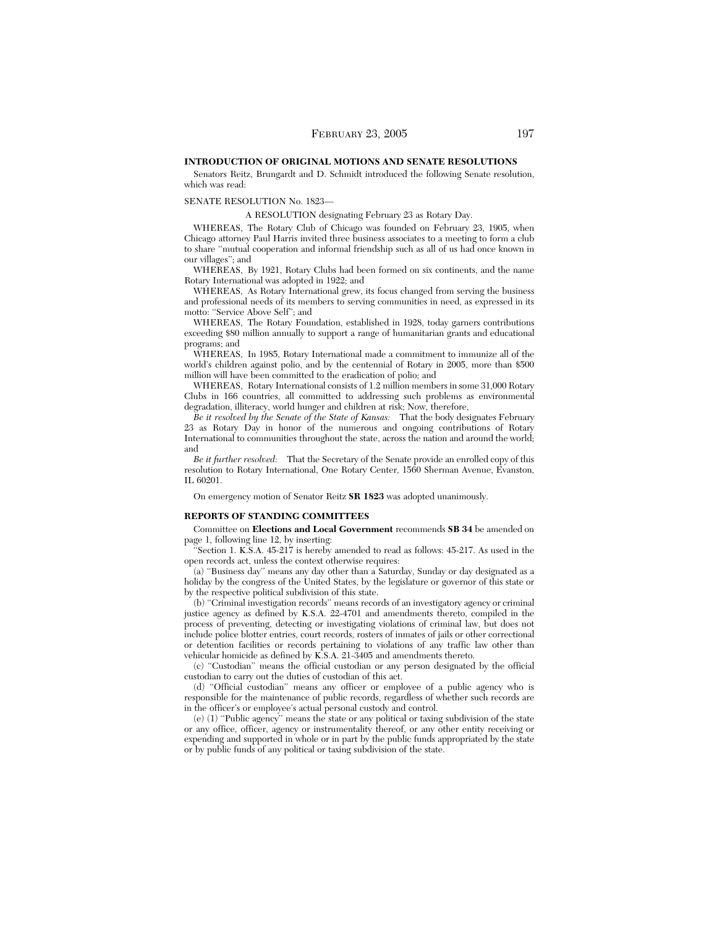## **INTRODUCTION OF ORIGINAL MOTIONS AND SENATE RESOLUTIONS**

Senators Reitz, Brungardt and D. Schmidt introduced the following Senate resolution, which was read:

## SENATE RESOLUTION No. 1823—

A RESOLUTION designating February 23 as Rotary Day.

WHEREAS, The Rotary Club of Chicago was founded on February 23, 1905, when Chicago attorney Paul Harris invited three business associates to a meeting to form a club to share ''mutual cooperation and informal friendship such as all of us had once known in our villages''; and

WHEREAS, By 1921, Rotary Clubs had been formed on six continents, and the name Rotary International was adopted in 1922; and

WHEREAS, As Rotary International grew, its focus changed from serving the business and professional needs of its members to serving communities in need, as expressed in its motto: "Service Above Self"; and

WHEREAS, The Rotary Foundation, established in 1928, today garners contributions exceeding \$80 million annually to support a range of humanitarian grants and educational programs; and

WHEREAS, In 1985, Rotary International made a commitment to immunize all of the world's children against polio, and by the centennial of Rotary in 2005, more than \$500 million will have been committed to the eradication of polio; and

WHEREAS, Rotary International consists of 1.2 million members in some 31,000 Rotary Clubs in 166 countries, all committed to addressing such problems as environmental degradation, illiteracy, world hunger and children at risk; Now, therefore,

*Be it resolved by the Senate of the State of Kansas:* That the body designates February 23 as Rotary Day in honor of the numerous and ongoing contributions of Rotary International to communities throughout the state, across the nation and around the world; and

*Be it further resolved:* That the Secretary of the Senate provide an enrolled copy of this resolution to Rotary International, One Rotary Center, 1560 Sherman Avenue, Evanston, IL 60201.

On emergency motion of Senator Reitz **SR 1823** was adopted unanimously.

## **REPORTS OF STANDING COMMITTEES**

Committee on **Elections and Local Government** recommends **SB 34** be amended on page 1, following line 12, by inserting:

Section 1. K.S.A. 45-217 is hereby amended to read as follows: 45-217. As used in the open records act, unless the context otherwise requires:

(a) ''Business day'' means any day other than a Saturday, Sunday or day designated as a holiday by the congress of the United States, by the legislature or governor of this state or by the respective political subdivision of this state.

(b) ''Criminal investigation records'' means records of an investigatory agency or criminal justice agency as defined by K.S.A. 22-4701 and amendments thereto, compiled in the process of preventing, detecting or investigating violations of criminal law, but does not include police blotter entries, court records, rosters of inmates of jails or other correctional or detention facilities or records pertaining to violations of any traffic law other than vehicular homicide as defined by K.S.A. 21-3405 and amendments thereto.

(c) ''Custodian'' means the official custodian or any person designated by the official custodian to carry out the duties of custodian of this act.

(d) ''Official custodian'' means any officer or employee of a public agency who is responsible for the maintenance of public records, regardless of whether such records are in the officer's or employee's actual personal custody and control.

(e) (1) ''Public agency'' means the state or any political or taxing subdivision of the state or any office, officer, agency or instrumentality thereof, or any other entity receiving or expending and supported in whole or in part by the public funds appropriated by the state or by public funds of any political or taxing subdivision of the state.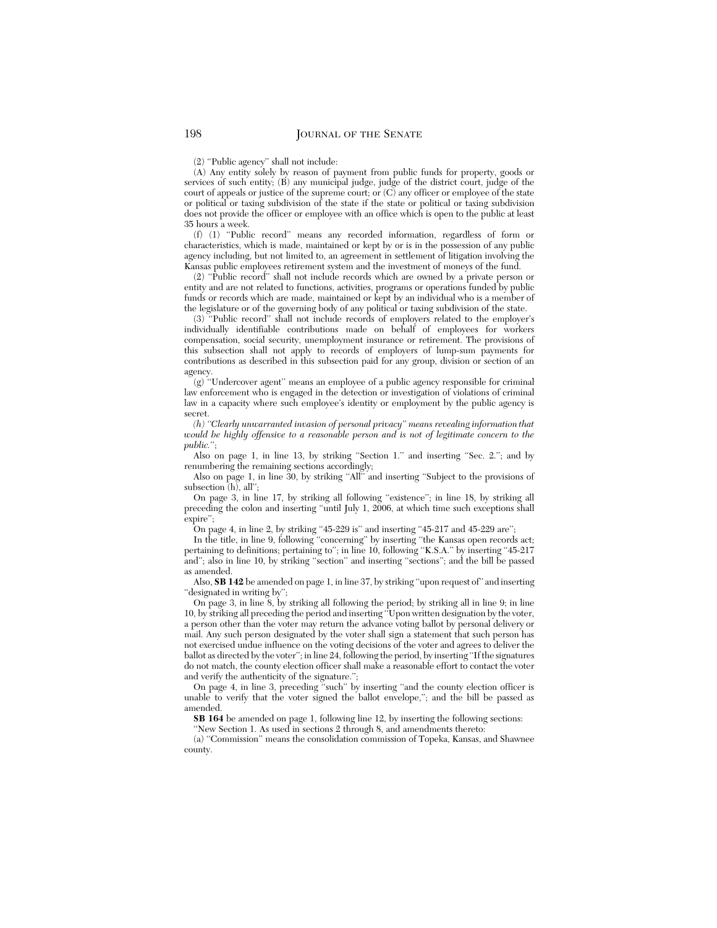(2) ''Public agency'' shall not include:

(A) Any entity solely by reason of payment from public funds for property, goods or services of such entity; (B) any municipal judge, judge of the district court, judge of the court of appeals or justice of the supreme court; or (C) any officer or employee of the state or political or taxing subdivision of the state if the state or political or taxing subdivision does not provide the officer or employee with an office which is open to the public at least 35 hours a week.

(f) (1) ''Public record'' means any recorded information, regardless of form or characteristics, which is made, maintained or kept by or is in the possession of any public agency including, but not limited to, an agreement in settlement of litigation involving the Kansas public employees retirement system and the investment of moneys of the fund.

(2) ''Public record'' shall not include records which are owned by a private person or entity and are not related to functions, activities, programs or operations funded by public funds or records which are made, maintained or kept by an individual who is a member of the legislature or of the governing body of any political or taxing subdivision of the state.

(3) ''Public record'' shall not include records of employers related to the employer's individually identifiable contributions made on behalf of employees for workers compensation, social security, unemployment insurance or retirement. The provisions of this subsection shall not apply to records of employers of lump-sum payments for contributions as described in this subsection paid for any group, division or section of an agency.

 $(g)$  "Undercover agent" means an employee of a public agency responsible for criminal law enforcement who is engaged in the detection or investigation of violations of criminal law in a capacity where such employee's identity or employment by the public agency is secret.

*(h) ''Clearly unwarranted invasion of personal privacy'' means revealing information that would be highly offensive to a reasonable person and is not of legitimate concern to the public.*'';

Also on page 1, in line 13, by striking "Section 1." and inserting "Sec. 2."; and by renumbering the remaining sections accordingly;

Also on page 1, in line 30, by striking "All" and inserting "Subject to the provisions of subsection (h), all'';

On page 3, in line 17, by striking all following "existence"; in line 18, by striking all preceding the colon and inserting ''until July 1, 2006, at which time such exceptions shall expire'';

On page 4, in line 2, by striking "45-229 is" and inserting "45-217 and 45-229 are";

In the title, in line 9, following ''concerning'' by inserting ''the Kansas open records act; pertaining to definitions; pertaining to"; in line 10, following "K.S.A." by inserting "45-217" and''; also in line 10, by striking ''section'' and inserting ''sections''; and the bill be passed as amended.

Also, **SB 142** be amended on page 1, in line 37, by striking ''upon request of'' and inserting ''designated in writing by'';

On page 3, in line 8, by striking all following the period; by striking all in line 9; in line 10, by striking all preceding the period and inserting ''Upon written designation by the voter, a person other than the voter may return the advance voting ballot by personal delivery or mail. Any such person designated by the voter shall sign a statement that such person has not exercised undue influence on the voting decisions of the voter and agrees to deliver the ballot as directed by the voter''; in line 24, following the period, by inserting ''If the signatures do not match, the county election officer shall make a reasonable effort to contact the voter and verify the authenticity of the signature.'';

On page 4, in line 3, preceding ''such'' by inserting ''and the county election officer is unable to verify that the voter signed the ballot envelope,''; and the bill be passed as amended.

**SB 164** be amended on page 1, following line 12, by inserting the following sections:

''New Section 1. As used in sections 2 through 8, and amendments thereto:

(a) ''Commission'' means the consolidation commission of Topeka, Kansas, and Shawnee county.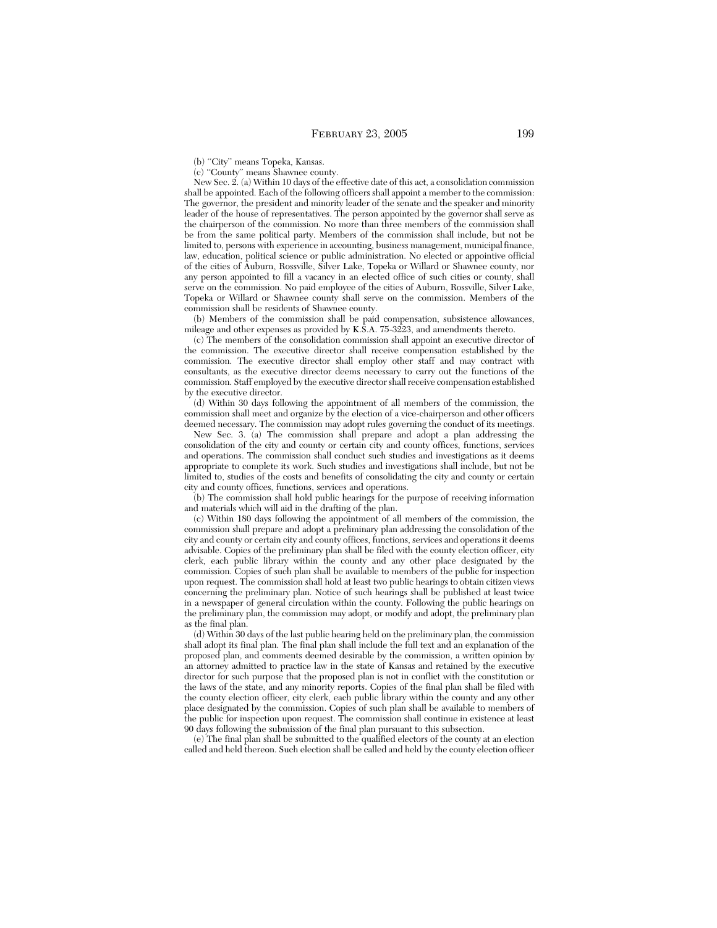(b) "City" means Topeka, Kansas.

(c) ''County'' means Shawnee county.

New Sec. 2. (a) Within 10 days of the effective date of this act, a consolidation commission shall be appointed. Each of the following officers shall appoint a member to the commission: The governor, the president and minority leader of the senate and the speaker and minority leader of the house of representatives. The person appointed by the governor shall serve as the chairperson of the commission. No more than three members of the commission shall be from the same political party. Members of the commission shall include, but not be limited to, persons with experience in accounting, business management, municipal finance, law, education, political science or public administration. No elected or appointive official of the cities of Auburn, Rossville, Silver Lake, Topeka or Willard or Shawnee county, nor any person appointed to fill a vacancy in an elected office of such cities or county, shall serve on the commission. No paid employee of the cities of Auburn, Rossville, Silver Lake, Topeka or Willard or Shawnee county shall serve on the commission. Members of the commission shall be residents of Shawnee county.

(b) Members of the commission shall be paid compensation, subsistence allowances, mileage and other expenses as provided by K.S.A. 75-3223, and amendments thereto.

(c) The members of the consolidation commission shall appoint an executive director of the commission. The executive director shall receive compensation established by the commission. The executive director shall employ other staff and may contract with consultants, as the executive director deems necessary to carry out the functions of the commission. Staff employed by the executive director shall receive compensation established by the executive director.

(d) Within 30 days following the appointment of all members of the commission, the commission shall meet and organize by the election of a vice-chairperson and other officers deemed necessary. The commission may adopt rules governing the conduct of its meetings.

New Sec. 3. (a) The commission shall prepare and adopt a plan addressing the consolidation of the city and county or certain city and county offices, functions, services and operations. The commission shall conduct such studies and investigations as it deems appropriate to complete its work. Such studies and investigations shall include, but not be limited to, studies of the costs and benefits of consolidating the city and county or certain city and county offices, functions, services and operations.

(b) The commission shall hold public hearings for the purpose of receiving information and materials which will aid in the drafting of the plan.

(c) Within 180 days following the appointment of all members of the commission, the commission shall prepare and adopt a preliminary plan addressing the consolidation of the city and county or certain city and county offices, functions, services and operations it deems advisable. Copies of the preliminary plan shall be filed with the county election officer, city clerk, each public library within the county and any other place designated by the commission. Copies of such plan shall be available to members of the public for inspection upon request. The commission shall hold at least two public hearings to obtain citizen views concerning the preliminary plan. Notice of such hearings shall be published at least twice in a newspaper of general circulation within the county. Following the public hearings on the preliminary plan, the commission may adopt, or modify and adopt, the preliminary plan as the final plan.

(d) Within 30 days of the last public hearing held on the preliminary plan, the commission shall adopt its final plan. The final plan shall include the full text and an explanation of the proposed plan, and comments deemed desirable by the commission, a written opinion by an attorney admitted to practice law in the state of Kansas and retained by the executive director for such purpose that the proposed plan is not in conflict with the constitution or the laws of the state, and any minority reports. Copies of the final plan shall be filed with the county election officer, city clerk, each public library within the county and any other place designated by the commission. Copies of such plan shall be available to members of the public for inspection upon request. The commission shall continue in existence at least 90 days following the submission of the final plan pursuant to this subsection.

(e) The final plan shall be submitted to the qualified electors of the county at an election called and held thereon. Such election shall be called and held by the county election officer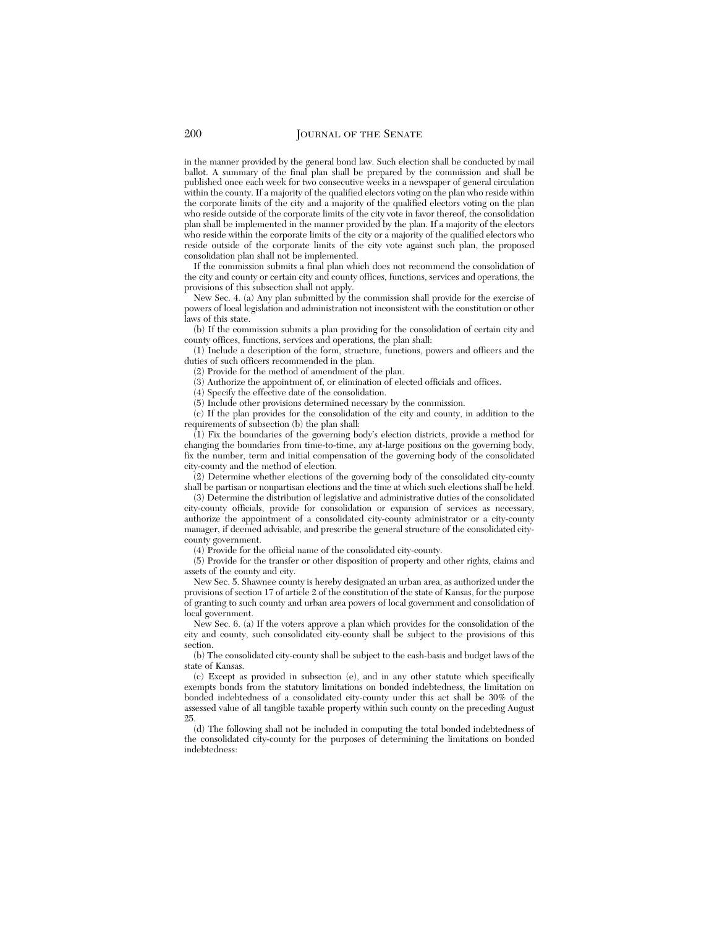in the manner provided by the general bond law. Such election shall be conducted by mail ballot. A summary of the final plan shall be prepared by the commission and shall be published once each week for two consecutive weeks in a newspaper of general circulation within the county. If a majority of the qualified electors voting on the plan who reside within the corporate limits of the city and a majority of the qualified electors voting on the plan who reside outside of the corporate limits of the city vote in favor thereof, the consolidation plan shall be implemented in the manner provided by the plan. If a majority of the electors who reside within the corporate limits of the city or a majority of the qualified electors who reside outside of the corporate limits of the city vote against such plan, the proposed consolidation plan shall not be implemented.

If the commission submits a final plan which does not recommend the consolidation of the city and county or certain city and county offices, functions, services and operations, the provisions of this subsection shall not apply.

New Sec. 4. (a) Any plan submitted by the commission shall provide for the exercise of powers of local legislation and administration not inconsistent with the constitution or other laws of this state.

(b) If the commission submits a plan providing for the consolidation of certain city and county offices, functions, services and operations, the plan shall:

(1) Include a description of the form, structure, functions, powers and officers and the duties of such officers recommended in the plan.

(2) Provide for the method of amendment of the plan.

(3) Authorize the appointment of, or elimination of elected officials and offices.

(4) Specify the effective date of the consolidation.

(5) Include other provisions determined necessary by the commission.

(c) If the plan provides for the consolidation of the city and county, in addition to the requirements of subsection (b) the plan shall:

 $(1)$  Fix the boundaries of the governing body's election districts, provide a method for changing the boundaries from time-to-time, any at-large positions on the governing body, fix the number, term and initial compensation of the governing body of the consolidated city-county and the method of election.

(2) Determine whether elections of the governing body of the consolidated city-county shall be partisan or nonpartisan elections and the time at which such elections shall be held.

(3) Determine the distribution of legislative and administrative duties of the consolidated city-county officials, provide for consolidation or expansion of services as necessary, authorize the appointment of a consolidated city-county administrator or a city-county manager, if deemed advisable, and prescribe the general structure of the consolidated citycounty government.

(4) Provide for the official name of the consolidated city-county.

(5) Provide for the transfer or other disposition of property and other rights, claims and assets of the county and city.

New Sec. 5. Shawnee county is hereby designated an urban area, as authorized under the provisions of section 17 of article 2 of the constitution of the state of Kansas, for the purpose of granting to such county and urban area powers of local government and consolidation of local government.

New Sec. 6. (a) If the voters approve a plan which provides for the consolidation of the city and county, such consolidated city-county shall be subject to the provisions of this section.

(b) The consolidated city-county shall be subject to the cash-basis and budget laws of the state of Kansas.

(c) Except as provided in subsection (e), and in any other statute which specifically exempts bonds from the statutory limitations on bonded indebtedness, the limitation on bonded indebtedness of a consolidated city-county under this act shall be 30% of the assessed value of all tangible taxable property within such county on the preceding August 25.

(d) The following shall not be included in computing the total bonded indebtedness of the consolidated city-county for the purposes of determining the limitations on bonded indebtedness: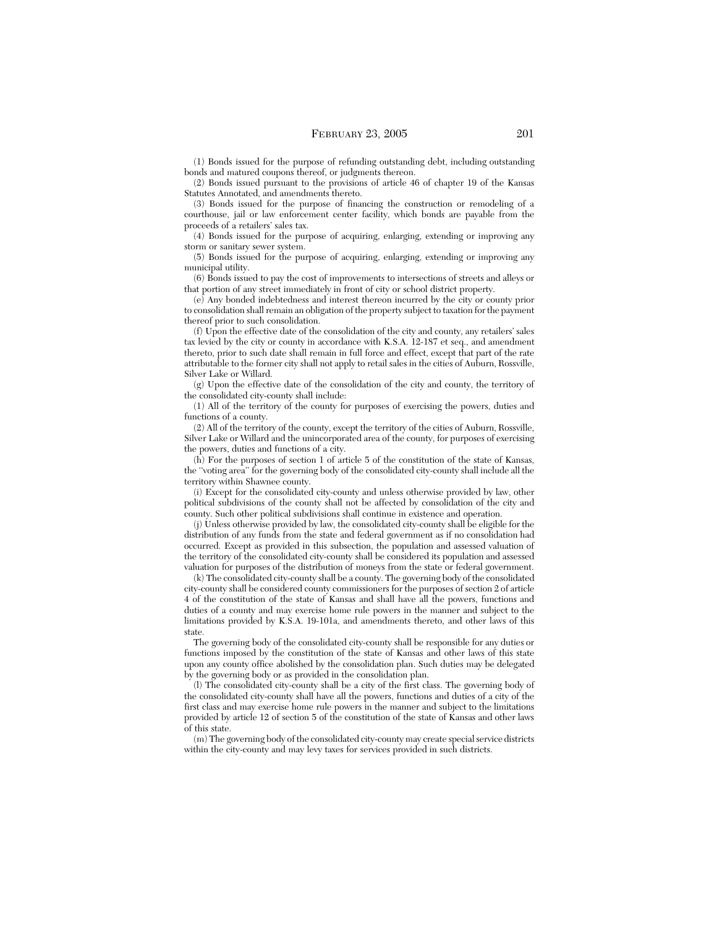(1) Bonds issued for the purpose of refunding outstanding debt, including outstanding bonds and matured coupons thereof, or judgments thereon.

(2) Bonds issued pursuant to the provisions of article 46 of chapter 19 of the Kansas Statutes Annotated, and amendments thereto.

(3) Bonds issued for the purpose of financing the construction or remodeling of a courthouse, jail or law enforcement center facility, which bonds are payable from the proceeds of a retailers' sales tax.

(4) Bonds issued for the purpose of acquiring, enlarging, extending or improving any storm or sanitary sewer system.

(5) Bonds issued for the purpose of acquiring, enlarging, extending or improving any municipal utility.

(6) Bonds issued to pay the cost of improvements to intersections of streets and alleys or that portion of any street immediately in front of city or school district property.

(e) Any bonded indebtedness and interest thereon incurred by the city or county prior to consolidation shall remain an obligation of the property subject to taxation for the payment thereof prior to such consolidation.

(f) Upon the effective date of the consolidation of the city and county, any retailers' sales tax levied by the city or county in accordance with K.S.A. 12-187 et seq., and amendment thereto, prior to such date shall remain in full force and effect, except that part of the rate attributable to the former city shall not apply to retail sales in the cities of Auburn, Rossville, Silver Lake or Willard.

(g) Upon the effective date of the consolidation of the city and county, the territory of the consolidated city-county shall include:

(1) All of the territory of the county for purposes of exercising the powers, duties and functions of a county.

(2) All of the territory of the county, except the territory of the cities of Auburn, Rossville, Silver Lake or Willard and the unincorporated area of the county, for purposes of exercising the powers, duties and functions of a city.

(h) For the purposes of section 1 of article 5 of the constitution of the state of Kansas, the ''voting area'' for the governing body of the consolidated city-county shall include all the territory within Shawnee county.

(i) Except for the consolidated city-county and unless otherwise provided by law, other political subdivisions of the county shall not be affected by consolidation of the city and county. Such other political subdivisions shall continue in existence and operation.

(j) Unless otherwise provided by law, the consolidated city-county shall be eligible for the distribution of any funds from the state and federal government as if no consolidation had occurred. Except as provided in this subsection, the population and assessed valuation of the territory of the consolidated city-county shall be considered its population and assessed valuation for purposes of the distribution of moneys from the state or federal government.

(k) The consolidated city-county shall be a county. The governing body of the consolidated city-county shall be considered county commissioners for the purposes of section 2 of article 4 of the constitution of the state of Kansas and shall have all the powers, functions and duties of a county and may exercise home rule powers in the manner and subject to the limitations provided by K.S.A. 19-101a, and amendments thereto, and other laws of this state.

The governing body of the consolidated city-county shall be responsible for any duties or functions imposed by the constitution of the state of Kansas and other laws of this state upon any county office abolished by the consolidation plan. Such duties may be delegated by the governing body or as provided in the consolidation plan.

(l) The consolidated city-county shall be a city of the first class. The governing body of the consolidated city-county shall have all the powers, functions and duties of a city of the first class and may exercise home rule powers in the manner and subject to the limitations provided by article 12 of section 5 of the constitution of the state of Kansas and other laws of this state.

(m) The governing body of the consolidated city-county may create special service districts within the city-county and may levy taxes for services provided in such districts.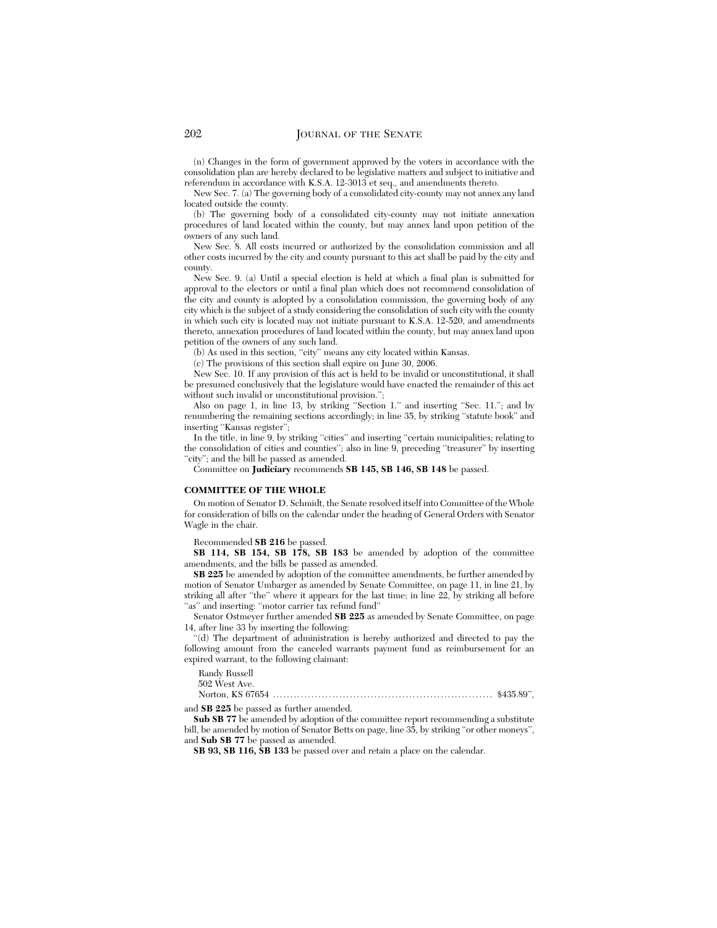(n) Changes in the form of government approved by the voters in accordance with the consolidation plan are hereby declared to be legislative matters and subject to initiative and referendum in accordance with K.S.A. 12-3013 et seq., and amendments thereto.

New Sec. 7. (a) The governing body of a consolidated city-county may not annex any land located outside the county.

(b) The governing body of a consolidated city-county may not initiate annexation procedures of land located within the county, but may annex land upon petition of the owners of any such land.

New Sec. 8. All costs incurred or authorized by the consolidation commission and all other costs incurred by the city and county pursuant to this act shall be paid by the city and county.

New Sec. 9. (a) Until a special election is held at which a final plan is submitted for approval to the electors or until a final plan which does not recommend consolidation of the city and county is adopted by a consolidation commission, the governing body of any city which is the subject of a study considering the consolidation of such city with the county in which such city is located may not initiate pursuant to K.S.A. 12-520, and amendments thereto, annexation procedures of land located within the county, but may annex land upon petition of the owners of any such land.

(b) As used in this section, ''city'' means any city located within Kansas.

(c) The provisions of this section shall expire on June 30, 2006.

New Sec. 10. If any provision of this act is held to be invalid or unconstitutional, it shall be presumed conclusively that the legislature would have enacted the remainder of this act without such invalid or unconstitutional provision.'';

Also on page 1, in line 13, by striking "Section 1." and inserting "Sec. 11."; and by renumbering the remaining sections accordingly; in line 35, by striking ''statute book'' and inserting "Kansas register";

In the title, in line 9, by striking "cities" and inserting "certain municipalities; relating to the consolidation of cities and counties''; also in line 9, preceding ''treasurer'' by inserting "city"; and the bill be passed as amended.

Committee on **Judiciary** recommends **SB 145, SB 146, SB 148** be passed.

#### **COMMITTEE OF THE WHOLE**

On motion of Senator D. Schmidt, the Senate resolved itself into Committee of the Whole for consideration of bills on the calendar under the heading of General Orders with Senator Wagle in the chair.

Recommended **SB 216** be passed.

**SB 114, SB 154, SB 178, SB 183** be amended by adoption of the committee amendments, and the bills be passed as amended.

**SB 225** be amended by adoption of the committee amendments, be further amended by motion of Senator Umbarger as amended by Senate Committee, on page 11, in line 21, by striking all after "the" where it appears for the last time; in line 22, by striking all before "as" and inserting: "motor carrier tax refund fund"

Senator Ostmeyer further amended **SB 225** as amended by Senate Committee, on page 14, after line 33 by inserting the following:

'(d) The department of administration is hereby authorized and directed to pay the following amount from the canceled warrants payment fund as reimbursement for an expired warrant, to the following claimant:

Randy Russell

502 West Ave.

Norton, KS 67654 ............................................................... \$435.89'', and **SB 225** be passed as further amended.

Sub SB 77 be amended by adoption of the committee report recommending a substitute bill, be amended by motion of Senator Betts on page, line 35, by striking ''or other moneys'', and **Sub SB 77** be passed as amended.

**SB 93, SB 116, SB 133** be passed over and retain a place on the calendar.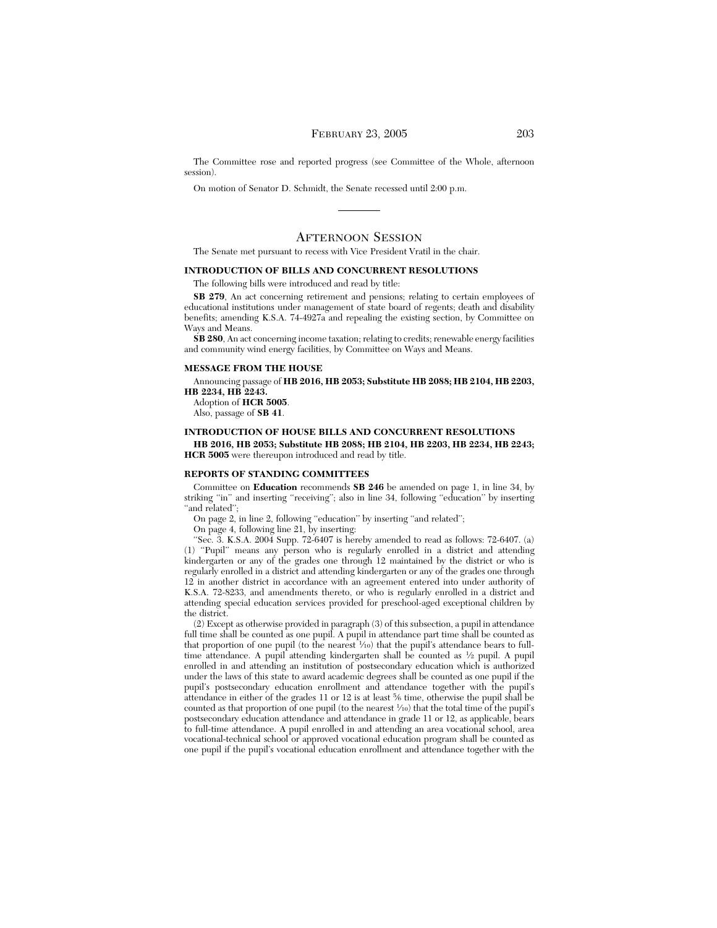# FEBRUARY 23, 2005 203

The Committee rose and reported progress (see Committee of the Whole, afternoon session).

On motion of Senator D. Schmidt, the Senate recessed until 2:00 p.m.

## AFTERNOON SESSION

The Senate met pursuant to recess with Vice President Vratil in the chair.

## **INTRODUCTION OF BILLS AND CONCURRENT RESOLUTIONS**

The following bills were introduced and read by title:

**SB 279**, An act concerning retirement and pensions; relating to certain employees of educational institutions under management of state board of regents; death and disability benefits; amending K.S.A. 74-4927a and repealing the existing section, by Committee on Ways and Means.

**SB 280**, An act concerning income taxation; relating to credits; renewable energy facilities and community wind energy facilities, by Committee on Ways and Means.

#### **MESSAGE FROM THE HOUSE**

# Announcing passage of **HB 2016, HB 2053; Substitute HB 2088; HB 2104, HB 2203,**

**HB 2234, HB 2243.**

Adoption of **HCR 5005**.

Also, passage of **SB 41**.

## **INTRODUCTION OF HOUSE BILLS AND CONCURRENT RESOLUTIONS**

**HB 2016, HB 2053; Substitute HB 2088; HB 2104, HB 2203, HB 2234, HB 2243; HCR 5005** were thereupon introduced and read by title.

#### **REPORTS OF STANDING COMMITTEES**

Committee on **Education** recommends **SB 246** be amended on page 1, in line 34, by striking "in" and inserting "receiving"; also in line 34, following "education" by inserting "and related";

On page 2, in line 2, following ''education'' by inserting ''and related'';

On page 4, following line 21, by inserting:

"Sec. 3. K.S.A.  $200\overline{4}$  Supp. 72-6407 is hereby amended to read as follows: 72-6407. (a) (1) ''Pupil'' means any person who is regularly enrolled in a district and attending kindergarten or any of the grades one through 12 maintained by the district or who is regularly enrolled in a district and attending kindergarten or any of the grades one through 12 in another district in accordance with an agreement entered into under authority of K.S.A. 72-8233, and amendments thereto, or who is regularly enrolled in a district and attending special education services provided for preschool-aged exceptional children by the district.

(2) Except as otherwise provided in paragraph (3) of this subsection, a pupil in attendance full time shall be counted as one pupil. A pupil in attendance part time shall be counted as that proportion of one pupil (to the nearest 1/10) that the pupil's attendance bears to fulltime attendance. A pupil attending kindergarten shall be counted as 1⁄2 pupil. A pupil enrolled in and attending an institution of postsecondary education which is authorized under the laws of this state to award academic degrees shall be counted as one pupil if the pupil's postsecondary education enrollment and attendance together with the pupil's attendance in either of the grades 11 or 12 is at least 5⁄6 time, otherwise the pupil shall be counted as that proportion of one pupil (to the nearest  $\frac{1}{10}$ ) that the total time of the pupil's postsecondary education attendance and attendance in grade 11 or 12, as applicable, bears to full-time attendance. A pupil enrolled in and attending an area vocational school, area vocational-technical school or approved vocational education program shall be counted as one pupil if the pupil's vocational education enrollment and attendance together with the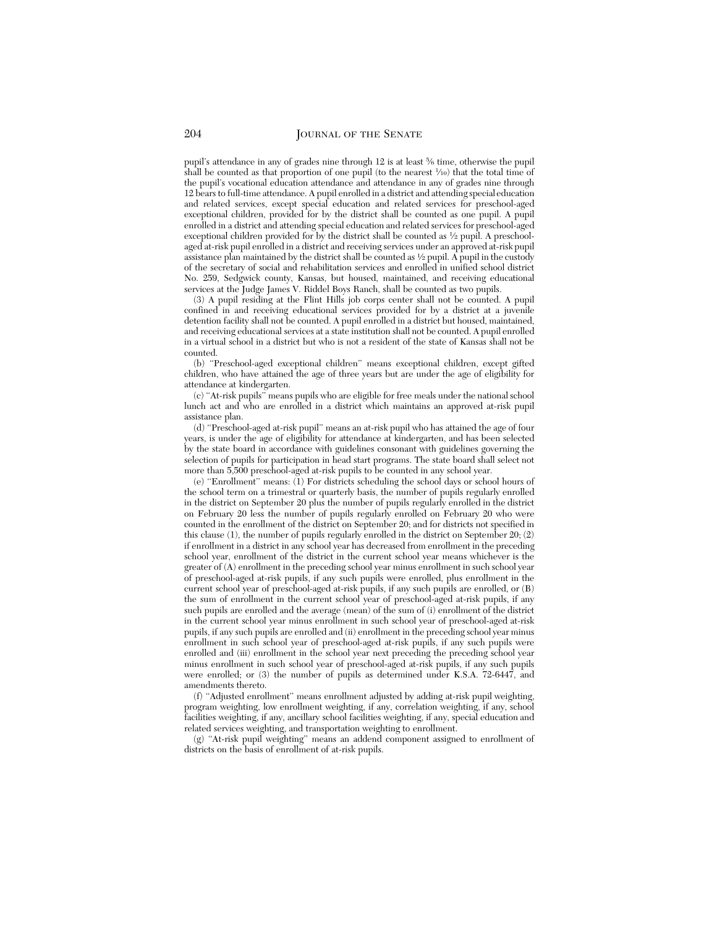pupil's attendance in any of grades nine through 12 is at least 5⁄6 time, otherwise the pupil shall be counted as that proportion of one pupil (to the nearest  $\frac{1}{10}$ ) that the total time of the pupil's vocational education attendance and attendance in any of grades nine through 12 bears to full-time attendance. A pupil enrolled in a district and attending special education and related services, except special education and related services for preschool-aged exceptional children, provided for by the district shall be counted as one pupil. A pupil enrolled in a district and attending special education and related services for preschool-aged exceptional children provided for by the district shall be counted as  $\frac{1}{2}$  pupil. A preschoolaged at-risk pupil enrolled in a district and receiving services under an approved at-risk pupil assistance plan maintained by the district shall be counted as <sup>1</sup> ⁄2 pupil. A pupil in the custody of the secretary of social and rehabilitation services and enrolled in unified school district No. 259, Sedgwick county, Kansas, but housed, maintained, and receiving educational services at the Judge James V. Riddel Boys Ranch, shall be counted as two pupils.

(3) A pupil residing at the Flint Hills job corps center shall not be counted. A pupil confined in and receiving educational services provided for by a district at a juvenile detention facility shall not be counted. A pupil enrolled in a district but housed, maintained, and receiving educational services at a state institution shall not be counted. A pupil enrolled in a virtual school in a district but who is not a resident of the state of Kansas shall not be counted.

(b) ''Preschool-aged exceptional children'' means exceptional children, except gifted children, who have attained the age of three years but are under the age of eligibility for attendance at kindergarten.

(c) ''At-risk pupils'' means pupils who are eligible for free meals under the national school lunch act and who are enrolled in a district which maintains an approved at-risk pupil assistance plan.

(d) ''Preschool-aged at-risk pupil'' means an at-risk pupil who has attained the age of four years, is under the age of eligibility for attendance at kindergarten, and has been selected by the state board in accordance with guidelines consonant with guidelines governing the selection of pupils for participation in head start programs. The state board shall select not more than 5,500 preschool-aged at-risk pupils to be counted in any school year.

(e) ''Enrollment'' means: (1) For districts scheduling the school days or school hours of the school term on a trimestral or quarterly basis, the number of pupils regularly enrolled in the district on September 20 plus the number of pupils regularly enrolled in the district on February 20 less the number of pupils regularly enrolled on February 20 who were counted in the enrollment of the district on September 20; and for districts not specified in this clause (1), the number of pupils regularly enrolled in the district on September 20;  $(2)$ if enrollment in a district in any school year has decreased from enrollment in the preceding school year, enrollment of the district in the current school year means whichever is the greater of (A) enrollment in the preceding school year minus enrollment in such school year of preschool-aged at-risk pupils, if any such pupils were enrolled, plus enrollment in the current school year of preschool-aged at-risk pupils, if any such pupils are enrolled, or (B) the sum of enrollment in the current school year of preschool-aged at-risk pupils, if any such pupils are enrolled and the average (mean) of the sum of (i) enrollment of the district in the current school year minus enrollment in such school year of preschool-aged at-risk pupils, if any such pupils are enrolled and (ii) enrollment in the preceding school year minus enrollment in such school year of preschool-aged at-risk pupils, if any such pupils were enrolled and (iii) enrollment in the school year next preceding the preceding school year minus enrollment in such school year of preschool-aged at-risk pupils, if any such pupils were enrolled; or (3) the number of pupils as determined under K.S.A. 72-6447, and amendments thereto.

(f) ''Adjusted enrollment'' means enrollment adjusted by adding at-risk pupil weighting, program weighting, low enrollment weighting, if any, correlation weighting, if any, school facilities weighting, if any, ancillary school facilities weighting, if any, special education and related services weighting, and transportation weighting to enrollment.

(g) ''At-risk pupil weighting'' means an addend component assigned to enrollment of districts on the basis of enrollment of at-risk pupils.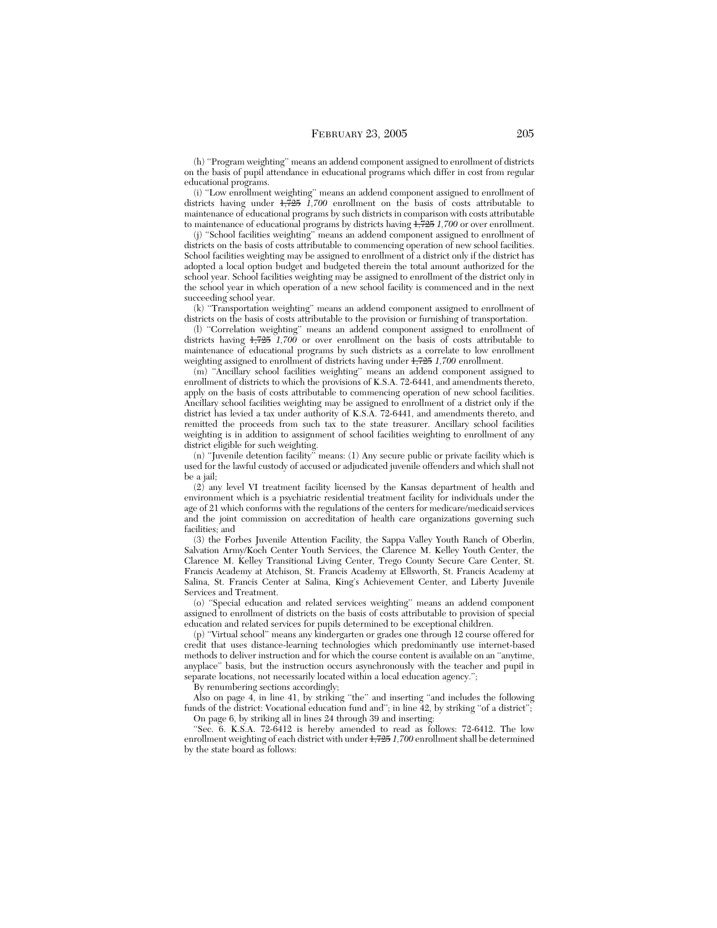(h) ''Program weighting'' means an addend component assigned to enrollment of districts on the basis of pupil attendance in educational programs which differ in cost from regular educational programs.

(i) ''Low enrollment weighting'' means an addend component assigned to enrollment of districts having under 1,725 *1,700* enrollment on the basis of costs attributable to maintenance of educational programs by such districts in comparison with costs attributable to maintenance of educational programs by districts having 1,725 *1,700* or over enrollment.

(j) ''School facilities weighting'' means an addend component assigned to enrollment of districts on the basis of costs attributable to commencing operation of new school facilities. School facilities weighting may be assigned to enrollment of a district only if the district has adopted a local option budget and budgeted therein the total amount authorized for the school year. School facilities weighting may be assigned to enrollment of the district only in the school year in which operation of a new school facility is commenced and in the next succeeding school year.

(k) ''Transportation weighting'' means an addend component assigned to enrollment of districts on the basis of costs attributable to the provision or furnishing of transportation.

(l) ''Correlation weighting'' means an addend component assigned to enrollment of districts having 1,725 *1,700* or over enrollment on the basis of costs attributable to maintenance of educational programs by such districts as a correlate to low enrollment weighting assigned to enrollment of districts having under 1,725 *1,700* enrollment.

(m) ''Ancillary school facilities weighting'' means an addend component assigned to enrollment of districts to which the provisions of K.S.A. 72-6441, and amendments thereto, apply on the basis of costs attributable to commencing operation of new school facilities. Ancillary school facilities weighting may be assigned to enrollment of a district only if the district has levied a tax under authority of K.S.A. 72-6441, and amendments thereto, and remitted the proceeds from such tax to the state treasurer. Ancillary school facilities weighting is in addition to assignment of school facilities weighting to enrollment of any district eligible for such weighting.

(n) ''Juvenile detention facility'' means: (1) Any secure public or private facility which is used for the lawful custody of accused or adjudicated juvenile offenders and which shall not be a jail:

(2) any level VI treatment facility licensed by the Kansas department of health and environment which is a psychiatric residential treatment facility for individuals under the age of 21 which conforms with the regulations of the centers for medicare/medicaid services and the joint commission on accreditation of health care organizations governing such facilities; and

(3) the Forbes Juvenile Attention Facility, the Sappa Valley Youth Ranch of Oberlin, Salvation Army/Koch Center Youth Services, the Clarence M. Kelley Youth Center, the Clarence M. Kelley Transitional Living Center, Trego County Secure Care Center, St. Francis Academy at Atchison, St. Francis Academy at Ellsworth, St. Francis Academy at Salina, St. Francis Center at Salina, King's Achievement Center, and Liberty Juvenile Services and Treatment.

(o) ''Special education and related services weighting'' means an addend component assigned to enrollment of districts on the basis of costs attributable to provision of special education and related services for pupils determined to be exceptional children.

(p) ''Virtual school'' means any kindergarten or grades one through 12 course offered for credit that uses distance-learning technologies which predominantly use internet-based methods to deliver instruction and for which the course content is available on an ''anytime, anyplace'' basis, but the instruction occurs asynchronously with the teacher and pupil in separate locations, not necessarily located within a local education agency.'';

By renumbering sections accordingly;

Also on page 4, in line 41, by striking ''the'' and inserting ''and includes the following funds of the district: Vocational education fund and"; in line 42, by striking "of a district"; On page 6, by striking all in lines 24 through 39 and inserting:

"Sec. 6. K.S.A. 72-6412 is hereby amended to read as follows: 72-6412. The low enrollment weighting of each district with under 1,725 *1,700* enrollment shall be determined by the state board as follows: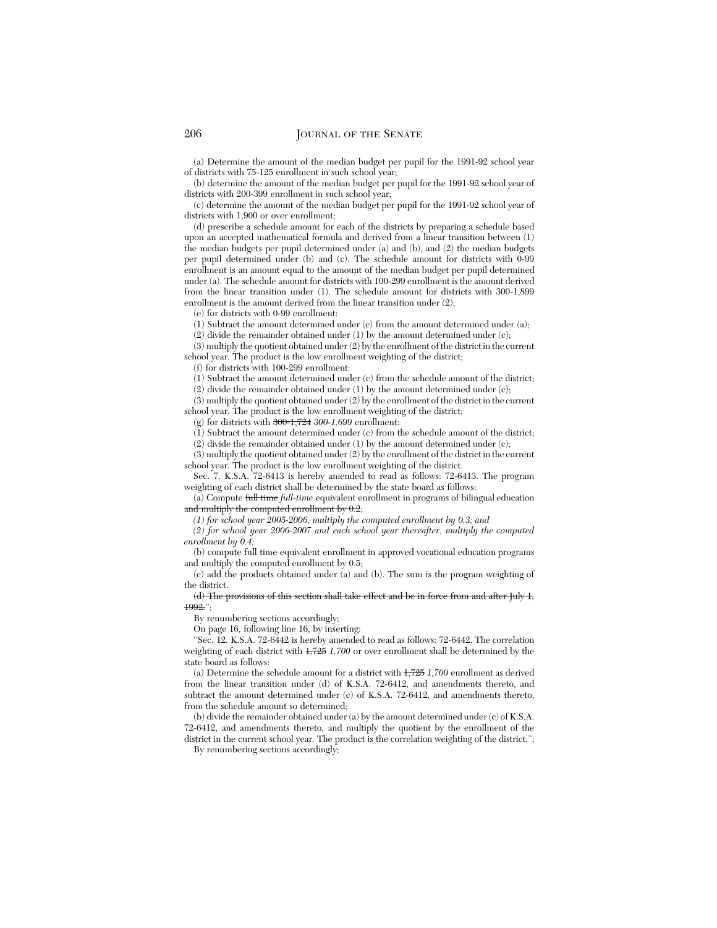(a) Determine the amount of the median budget per pupil for the 1991-92 school year of districts with 75-125 enrollment in such school year;

(b) determine the amount of the median budget per pupil for the 1991-92 school year of districts with 200-399 enrollment in such school year;

(c) determine the amount of the median budget per pupil for the 1991-92 school year of districts with 1,900 or over enrollment;

(d) prescribe a schedule amount for each of the districts by preparing a schedule based upon an accepted mathematical formula and derived from a linear transition between (1) the median budgets per pupil determined under (a) and (b), and (2) the median budgets per pupil determined under (b) and (c). The schedule amount for districts with 0-99 enrollment is an amount equal to the amount of the median budget per pupil determined under (a). The schedule amount for districts with 100-299 enrollment is the amount derived from the linear transition under (1). The schedule amount for districts with 300-1,899 enrollment is the amount derived from the linear transition under (2);

(e) for districts with 0-99 enrollment:

(1) Subtract the amount determined under (c) from the amount determined under (a);

(2) divide the remainder obtained under (1) by the amount determined under (c);

(3) multiply the quotient obtained under (2) by the enrollment of the district in the current school year. The product is the low enrollment weighting of the district;

(f) for districts with 100-299 enrollment:

(1) Subtract the amount determined under (c) from the schedule amount of the district; (2) divide the remainder obtained under (1) by the amount determined under (c);

(3) multiply the quotient obtained under (2) by the enrollment of the district in the current school year. The product is the low enrollment weighting of the district;

(g) for districts with 300-1,724 *300-1,699* enrollment:

 $(1)$  Subtract the amount determined under  $(c)$  from the schedule amount of the district;

(2) divide the remainder obtained under (1) by the amount determined under (c);

(3) multiply the quotient obtained under (2) by the enrollment of the district in the current school year. The product is the low enrollment weighting of the district.

Sec. 7. K.S.A. 72-6413 is hereby amended to read as follows: 72-6413. The program weighting of each district shall be determined by the state board as follows:

(a) Compute full time *full-time* equivalent enrollment in programs of bilingual education and multiply the computed enrollment by 0.2;

*(1) for school year 2005-2006, multiply the computed enrollment by 0.3; and*

*(2) for school year 2006-2007 and each school year thereafter, multiply the computed enrollment by 0.4;*

(b) compute full time equivalent enrollment in approved vocational education programs and multiply the computed enrollment by 0.5;

(c) add the products obtained under (a) and (b). The sum is the program weighting of the district.<br> $\frac{d}{dt}$  The p

 $\sigma$  distance of this section shall take  $\sigma$ 1992.'';

By renumbering sections accordingly;

On page 16, following line 16, by inserting:

''Sec. 12. K.S.A. 72-6442 is hereby amended to read as follows: 72-6442. The correlation weighting of each district with 1,725 *1,700* or over enrollment shall be determined by the state board as follows:

(a) Determine the schedule amount for a district with 1,725 *1,700* enrollment as derived from the linear transition under (d) of K.S.A. 72-6412, and amendments thereto, and subtract the amount determined under (c) of K.S.A. 72-6412, and amendments thereto, from the schedule amount so determined;

(b) divide the remainder obtained under (a) by the amount determined under (c) of K.S.A. 72-6412, and amendments thereto, and multiply the quotient by the enrollment of the district in the current school year. The product is the correlation weighting of the district.'';

By renumbering sections accordingly;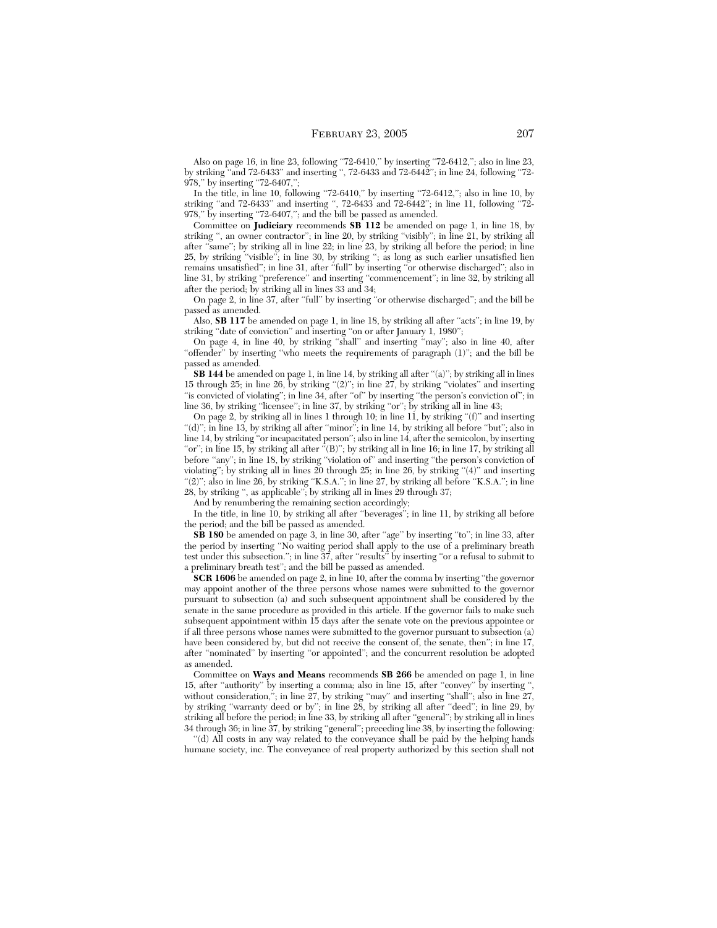Also on page 16, in line 23, following ''72-6410,'' by inserting ''72-6412,''; also in line 23, by striking ''and 72-6433'' and inserting '', 72-6433 and 72-6442''; in line 24, following ''72- 978," by inserting "72-6407,";

In the title, in line 10, following "72-6410," by inserting "72-6412,"; also in line 10, by striking "and 72-6433" and inserting ", 72-6433 and 72-6442"; in line 11, following "72-978," by inserting "72-6407,"; and the bill be passed as amended.

Committee on **Judiciary** recommends **SB 112** be amended on page 1, in line 18, by striking '', an owner contractor''; in line 20, by striking ''visibly''; in line 21, by striking all after ''same''; by striking all in line 22; in line 23, by striking all before the period; in line 25, by striking ''visible''; in line 30, by striking ''; as long as such earlier unsatisfied lien remains unsatisfied''; in line 31, after ''full'' by inserting ''or otherwise discharged''; also in line 31, by striking ''preference'' and inserting ''commencement''; in line 32, by striking all after the period; by striking all in lines 33 and 34;

On page 2, in line 37, after ''full'' by inserting ''or otherwise discharged''; and the bill be passed as amended.

Also, **SB 117** be amended on page 1, in line 18, by striking all after "acts"; in line 19, by striking "date of conviction" and inserting "on or after January 1, 1980";

On page 4, in line 40, by striking ''shall'' and inserting ''may''; also in line 40, after "offender" by inserting "who meets the requirements of paragraph (1)"; and the bill be passed as amended.

**SB 144** be amended on page 1, in line 14, by striking all after "(a)"; by striking all in lines 15 through 25; in line 26, by striking ''(2)''; in line 27, by striking ''violates'' and inserting "is convicted of violating"; in line 34, after "of" by inserting "the person's conviction of"; in line 36, by striking "licensee"; in line 37, by striking "or"; by striking all in line 43;

On page 2, by striking all in lines 1 through 10; in line 11, by striking ''(f)'' and inserting ''(d)''; in line 13, by striking all after ''minor''; in line 14, by striking all before ''but''; also in line 14, by striking ''or incapacitated person''; also in line 14, after the semicolon, by inserting "or"; in line 15, by striking all after  $\sqrt{\ }$ (B)"; by striking all in line 16; in line 17, by striking all before "any"; in line 18, by striking "violation of" and inserting "the person's conviction of violating''; by striking all in lines 20 through 25; in line 26, by striking ''(4)'' and inserting "(2)"; also in line 26, by striking "K.S.A."; in line 27, by striking all before "K.S.A."; in line 28, by striking '', as applicable''; by striking all in lines 29 through 37;

And by renumbering the remaining section accordingly;

In the title, in line 10, by striking all after ''beverages''; in line 11, by striking all before the period; and the bill be passed as amended.

**SB 180** be amended on page 3, in line 30, after ''age'' by inserting ''to''; in line 33, after the period by inserting ''No waiting period shall apply to the use of a preliminary breath test under this subsection.''; in line 37, after ''results'' by inserting ''or a refusal to submit to a preliminary breath test''; and the bill be passed as amended.

**SCR 1606** be amended on page 2, in line 10, after the comma by inserting ''the governor may appoint another of the three persons whose names were submitted to the governor pursuant to subsection (a) and such subsequent appointment shall be considered by the senate in the same procedure as provided in this article. If the governor fails to make such subsequent appointment within 15 days after the senate vote on the previous appointee or if all three persons whose names were submitted to the governor pursuant to subsection (a) have been considered by, but did not receive the consent of, the senate, then"; in line 17, after ''nominated'' by inserting ''or appointed''; and the concurrent resolution be adopted as amended.

Committee on **Ways and Means** recommends **SB 266** be amended on page 1, in line 15, after ''authority'' by inserting a comma; also in line 15, after ''convey'' by inserting '', without consideration,"; in line  $\overline{27}$ , by striking "may" and inserting "shall"; also in line  $\overline{27}$ , by striking ''warranty deed or by''; in line 28, by striking all after ''deed''; in line 29, by striking all before the period; in line 33, by striking all after ''general''; by striking all in lines 34 through 36; in line 37, by striking ''general''; preceding line 38, by inserting the following:

''(d) All costs in any way related to the conveyance shall be paid by the helping hands humane society, inc. The conveyance of real property authorized by this section shall not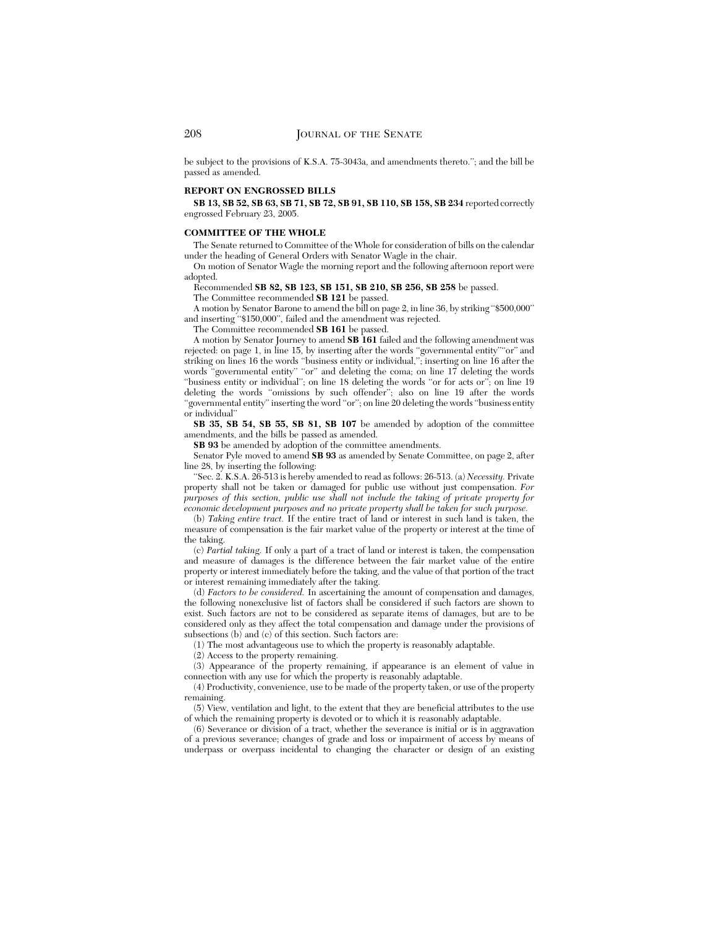be subject to the provisions of K.S.A. 75-3043a, and amendments thereto.''; and the bill be passed as amended.

#### **REPORT ON ENGROSSED BILLS**

**SB 13, SB 52, SB 63, SB 71, SB 72, SB 91, SB 110, SB 158, SB 234** reported correctly engrossed February 23, 2005.

#### **COMMITTEE OF THE WHOLE**

The Senate returned to Committee of the Whole for consideration of bills on the calendar under the heading of General Orders with Senator Wagle in the chair.

On motion of Senator Wagle the morning report and the following afternoon report were adopted.

Recommended **SB 82, SB 123, SB 151, SB 210, SB 256, SB 258** be passed.

The Committee recommended **SB 121** be passed.

A motion by Senator Barone to amend the bill on page 2, in line 36, by striking ''\$500,000'' and inserting ''\$150,000'', failed and the amendment was rejected.

The Committee recommended **SB 161** be passed.

A motion by Senator Journey to amend **SB 161** failed and the following amendment was rejected: on page 1, in line 15, by inserting after the words "governmental entity" or" and striking on lines 16 the words ''business entity or individual,''; inserting on line 16 after the words "governmental entity" "or" and deleting the coma; on line  $1\bar{7}$  deleting the words ''business entity or individual''; on line 18 deleting the words ''or for acts or''; on line 19 deleting the words ''omissions by such offender''; also on line 19 after the words "governmental entity" inserting the word "or"; on line 20 deleting the words "business entity or individual''

**SB 35, SB 54, SB 55, SB 81, SB 107** be amended by adoption of the committee amendments, and the bills be passed as amended.

**SB 93** be amended by adoption of the committee amendments.

Senator Pyle moved to amend **SB 93** as amended by Senate Committee, on page 2, after line 28, by inserting the following:

''Sec. 2. K.S.A. 26-513 is hereby amended to read as follows: 26-513. (a) *Necessity.* Private property shall not be taken or damaged for public use without just compensation. *For purposes of this section, public use shall not include the taking of private property for economic development purposes and no private property shall be taken for such purpose.*

(b) *Taking entire tract.* If the entire tract of land or interest in such land is taken, the measure of compensation is the fair market value of the property or interest at the time of the taking.

(c) *Partial taking.* If only a part of a tract of land or interest is taken, the compensation and measure of damages is the difference between the fair market value of the entire property or interest immediately before the taking, and the value of that portion of the tract or interest remaining immediately after the taking.

(d) *Factors to be considered.* In ascertaining the amount of compensation and damages, the following nonexclusive list of factors shall be considered if such factors are shown to exist. Such factors are not to be considered as separate items of damages, but are to be considered only as they affect the total compensation and damage under the provisions of subsections  $(b)$  and  $(c)$  of this section. Such factors are:

(1) The most advantageous use to which the property is reasonably adaptable.

(2) Access to the property remaining.

(3) Appearance of the property remaining, if appearance is an element of value in connection with any use for which the property is reasonably adaptable.

(4) Productivity, convenience, use to be made of the property taken, or use of the property remaining.

(5) View, ventilation and light, to the extent that they are beneficial attributes to the use of which the remaining property is devoted or to which it is reasonably adaptable.

(6) Severance or division of a tract, whether the severance is initial or is in aggravation of a previous severance; changes of grade and loss or impairment of access by means of underpass or overpass incidental to changing the character or design of an existing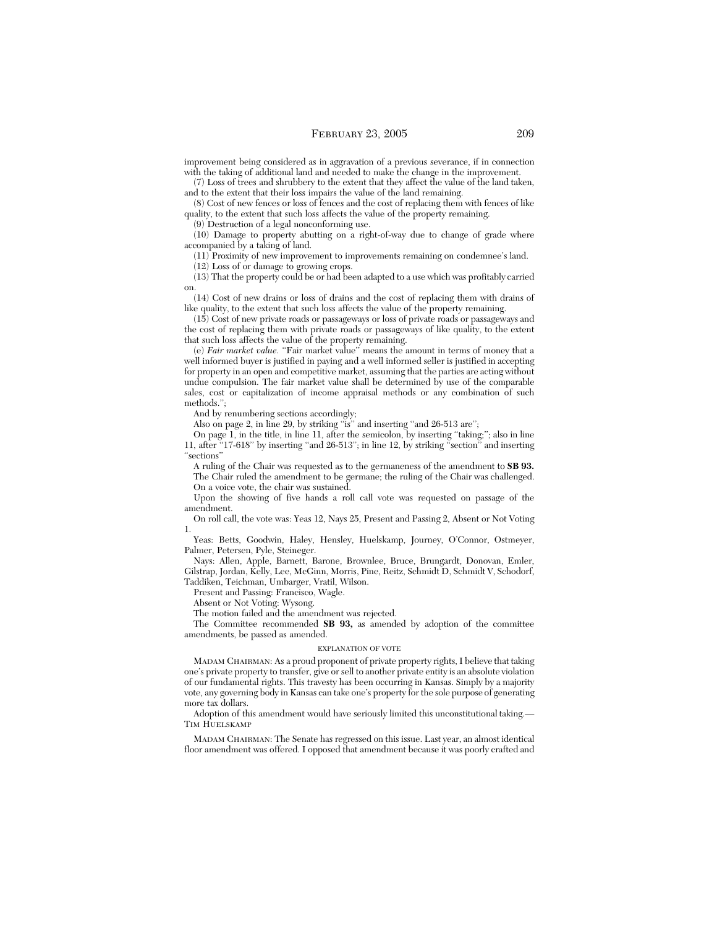improvement being considered as in aggravation of a previous severance, if in connection with the taking of additional land and needed to make the change in the improvement.

(7) Loss of trees and shrubbery to the extent that they affect the value of the land taken, and to the extent that their loss impairs the value of the land remaining.

(8) Cost of new fences or loss of fences and the cost of replacing them with fences of like quality, to the extent that such loss affects the value of the property remaining.

(9) Destruction of a legal nonconforming use.

(10) Damage to property abutting on a right-of-way due to change of grade where accompanied by a taking of land.

(11) Proximity of new improvement to improvements remaining on condemnee's land.

(12) Loss of or damage to growing crops.

(13) That the property could be or had been adapted to a use which was profitably carried on.

(14) Cost of new drains or loss of drains and the cost of replacing them with drains of like quality, to the extent that such loss affects the value of the property remaining.

(15) Cost of new private roads or passageways or loss of private roads or passageways and the cost of replacing them with private roads or passageways of like quality, to the extent that such loss affects the value of the property remaining.

(e) *Fair market value.* ''Fair market value'' means the amount in terms of money that a well informed buyer is justified in paying and a well informed seller is justified in accepting for property in an open and competitive market, assuming that the parties are acting without undue compulsion. The fair market value shall be determined by use of the comparable sales, cost or capitalization of income appraisal methods or any combination of such methods.'';

And by renumbering sections accordingly;

Also on page 2, in line 29, by striking "is" and inserting "and 26-513 are";

On page 1, in the title, in line 11, after the semicolon, by inserting ''taking;''; also in line 11, after ''17-618'' by inserting ''and 26-513''; in line 12, by striking ''section'' and inserting ''sections''

A ruling of the Chair was requested as to the germaneness of the amendment to **SB 93.** The Chair ruled the amendment to be germane; the ruling of the Chair was challenged. On a voice vote, the chair was sustained.

Upon the showing of five hands a roll call vote was requested on passage of the amendment.

On roll call, the vote was: Yeas 12, Nays 25, Present and Passing 2, Absent or Not Voting 1.

Yeas: Betts, Goodwin, Haley, Hensley, Huelskamp, Journey, O'Connor, Ostmeyer, Palmer, Petersen, Pyle, Steineger.

Nays: Allen, Apple, Barnett, Barone, Brownlee, Bruce, Brungardt, Donovan, Emler, Gilstrap, Jordan, Kelly, Lee, McGinn, Morris, Pine, Reitz, Schmidt D, Schmidt V, Schodorf, Taddiken, Teichman, Umbarger, Vratil, Wilson.

Present and Passing: Francisco, Wagle.

Absent or Not Voting: Wysong.

The motion failed and the amendment was rejected.

The Committee recommended **SB 93,** as amended by adoption of the committee amendments, be passed as amended.

#### EXPLANATION OF VOTE

MADAM CHAIRMAN: As a proud proponent of private property rights, I believe that taking one's private property to transfer, give or sell to another private entity is an absolute violation of our fundamental rights. This travesty has been occurring in Kansas. Simply by a majority vote, any governing body in Kansas can take one's property for the sole purpose of generating more tax dollars.

Adoption of this amendment would have seriously limited this unconstitutional taking.— TIM HUELSKAMP

MADAM CHAIRMAN: The Senate has regressed on this issue. Last year, an almost identical floor amendment was offered. I opposed that amendment because it was poorly crafted and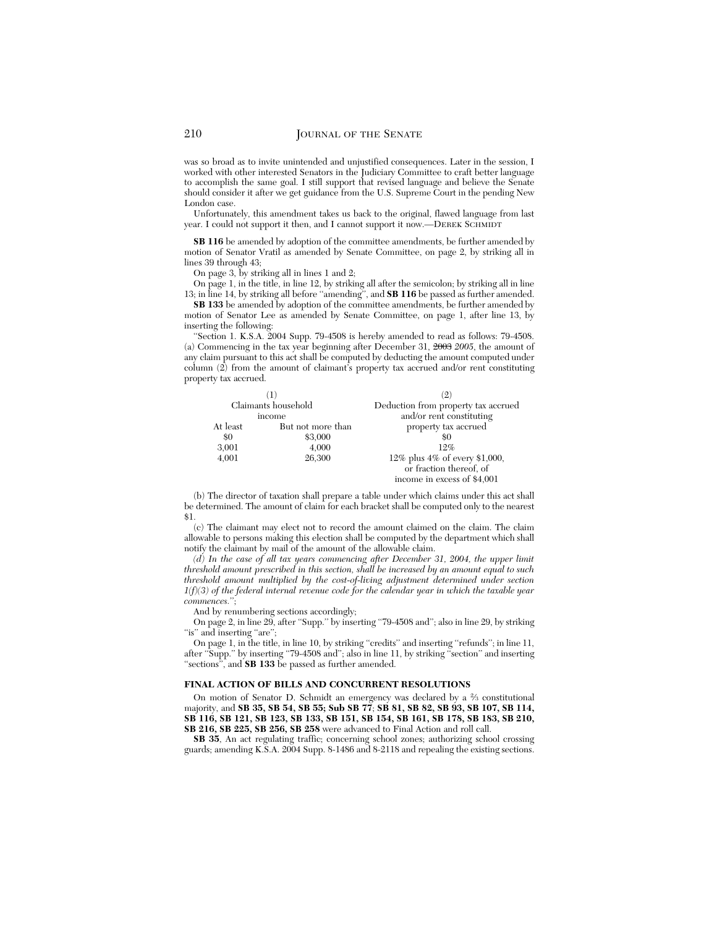was so broad as to invite unintended and unjustified consequences. Later in the session, I worked with other interested Senators in the Judiciary Committee to craft better language to accomplish the same goal. I still support that revised language and believe the Senate should consider it after we get guidance from the U.S. Supreme Court in the pending New London case.

Unfortunately, this amendment takes us back to the original, flawed language from last year. I could not support it then, and I cannot support it now.—DEREK SCHMIDT

**SB 116** be amended by adoption of the committee amendments, be further amended by motion of Senator Vratil as amended by Senate Committee, on page 2, by striking all in lines 39 through 43;

On page 3, by striking all in lines 1 and 2;

On page 1, in the title, in line 12, by striking all after the semicolon; by striking all in line 13; in line 14, by striking all before ''amending'', and **SB 116** be passed as further amended.

**SB 133** be amended by adoption of the committee amendments, be further amended by motion of Senator Lee as amended by Senate Committee, on page 1, after line 13, by inserting the following:

'Section 1. K.S.A. 2004 Supp. 79-4508 is hereby amended to read as follows: 79-4508. (a) Commencing in the tax year beginning after December 31, 2003 *2005*, the amount of any claim pursuant to this act shall be computed by deducting the amount computed under column (2) from the amount of claimant's property tax accrued and/or rent constituting property tax accrued.

|                     |                   | $\left( 2\right)$                   |
|---------------------|-------------------|-------------------------------------|
| Claimants household |                   | Deduction from property tax accrued |
| income              |                   | and/or rent constituting            |
| At least            | But not more than | property tax accrued                |
| \$0                 | \$3,000           | 80                                  |
| 3,001               | 4,000             | 19%                                 |
| 4.001               | 26,300            | 12% plus 4% of every \$1,000,       |
|                     |                   | or fraction thereof, of             |
|                     |                   | income in excess of \$4,001         |

(b) The director of taxation shall prepare a table under which claims under this act shall be determined. The amount of claim for each bracket shall be computed only to the nearest \$1.

(c) The claimant may elect not to record the amount claimed on the claim. The claim allowable to persons making this election shall be computed by the department which shall notify the claimant by mail of the amount of the allowable claim.

*(d) In the case of all tax years commencing after December 31, 2004, the upper limit threshold amount prescribed in this section, shall be increased by an amount equal to such threshold amount multiplied by the cost-of-living adjustment determined under section 1(f)(3) of the federal internal revenue code for the calendar year in which the taxable year commences.*'';

And by renumbering sections accordingly;

On page 2, in line 29, after ''Supp.'' by inserting ''79-4508 and''; also in line 29, by striking "is" and inserting "are";

On page 1, in the title, in line 10, by striking "credits" and inserting "refunds"; in line 11, after "Supp." by inserting "79-4508 and"; also in line 11, by striking "section" and inserting "sections", and **SB 133** be passed as further amended.

## **FINAL ACTION OF BILLS AND CONCURRENT RESOLUTIONS**

On motion of Senator D. Schmidt an emergency was declared by a 2⁄3 constitutional majority, and **SB 35, SB 54, SB 55; Sub SB 77**; **SB 81, SB 82, SB 93, SB 107, SB 114, SB 116, SB 121, SB 123, SB 133, SB 151, SB 154, SB 161, SB 178, SB 183, SB 210, SB 216, SB 225, SB 256, SB 258** were advanced to Final Action and roll call.

**SB 35**, An act regulating traffic; concerning school zones; authorizing school crossing guards; amending K.S.A. 2004 Supp. 8-1486 and 8-2118 and repealing the existing sections.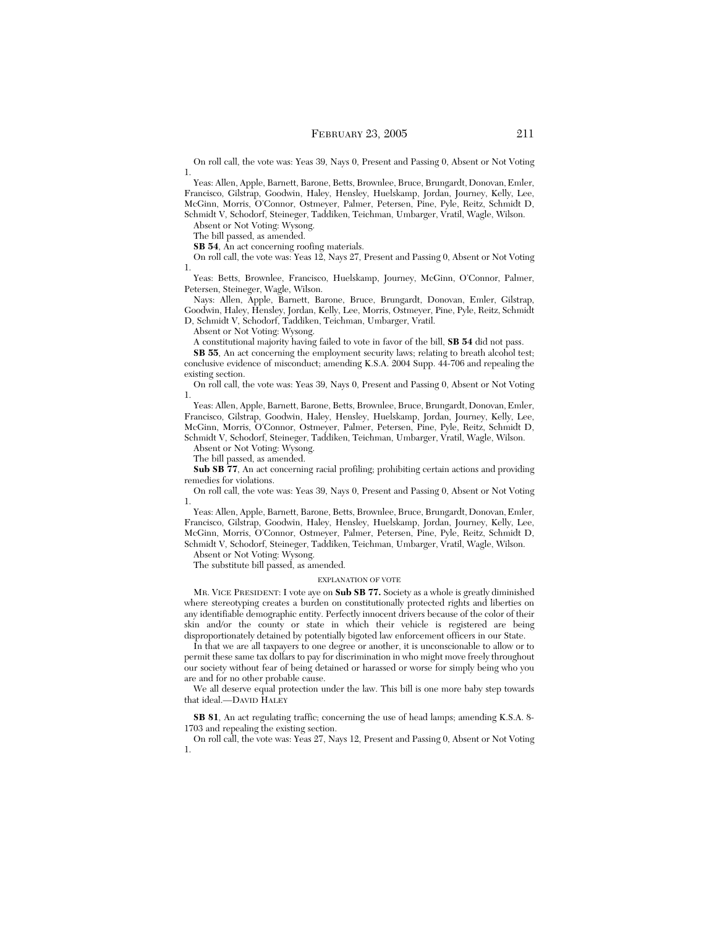On roll call, the vote was: Yeas 39, Nays 0, Present and Passing 0, Absent or Not Voting 1.

Yeas: Allen, Apple, Barnett, Barone, Betts, Brownlee, Bruce, Brungardt, Donovan, Emler, Francisco, Gilstrap, Goodwin, Haley, Hensley, Huelskamp, Jordan, Journey, Kelly, Lee, McGinn, Morris, O'Connor, Ostmeyer, Palmer, Petersen, Pine, Pyle, Reitz, Schmidt D, Schmidt V, Schodorf, Steineger, Taddiken, Teichman, Umbarger, Vratil, Wagle, Wilson.

Absent or Not Voting: Wysong.

The bill passed, as amended.

**SB 54**, An act concerning roofing materials.

On roll call, the vote was: Yeas 12, Nays 27, Present and Passing 0, Absent or Not Voting 1.

Yeas: Betts, Brownlee, Francisco, Huelskamp, Journey, McGinn, O'Connor, Palmer, Petersen, Steineger, Wagle, Wilson.

Nays: Allen, Apple, Barnett, Barone, Bruce, Brungardt, Donovan, Emler, Gilstrap, Goodwin, Haley, Hensley, Jordan, Kelly, Lee, Morris, Ostmeyer, Pine, Pyle, Reitz, Schmidt D, Schmidt V, Schodorf, Taddiken, Teichman, Umbarger, Vratil.

Absent or Not Voting: Wysong.

A constitutional majority having failed to vote in favor of the bill, **SB 54** did not pass.

**SB 55**, An act concerning the employment security laws; relating to breath alcohol test; conclusive evidence of misconduct; amending K.S.A. 2004 Supp. 44-706 and repealing the existing section.

On roll call, the vote was: Yeas 39, Nays 0, Present and Passing 0, Absent or Not Voting 1.

Yeas: Allen, Apple, Barnett, Barone, Betts, Brownlee, Bruce, Brungardt, Donovan, Emler, Francisco, Gilstrap, Goodwin, Haley, Hensley, Huelskamp, Jordan, Journey, Kelly, Lee, McGinn, Morris, O'Connor, Ostmeyer, Palmer, Petersen, Pine, Pyle, Reitz, Schmidt D, Schmidt V, Schodorf, Steineger, Taddiken, Teichman, Umbarger, Vratil, Wagle, Wilson.

Absent or Not Voting: Wysong.

The bill passed, as amended.

**Sub SB 77**, An act concerning racial profiling; prohibiting certain actions and providing remedies for violations.

On roll call, the vote was: Yeas 39, Nays 0, Present and Passing 0, Absent or Not Voting 1.

Yeas: Allen, Apple, Barnett, Barone, Betts, Brownlee, Bruce, Brungardt, Donovan, Emler, Francisco, Gilstrap, Goodwin, Haley, Hensley, Huelskamp, Jordan, Journey, Kelly, Lee, McGinn, Morris, O'Connor, Ostmeyer, Palmer, Petersen, Pine, Pyle, Reitz, Schmidt D, Schmidt V, Schodorf, Steineger, Taddiken, Teichman, Umbarger, Vratil, Wagle, Wilson.

Absent or Not Voting: Wysong.

The substitute bill passed, as amended.

#### EXPLANATION OF VOTE

MR. VICE PRESIDENT: I vote aye on **Sub SB 77.** Society as a whole is greatly diminished where stereotyping creates a burden on constitutionally protected rights and liberties on any identifiable demographic entity. Perfectly innocent drivers because of the color of their skin and/or the county or state in which their vehicle is registered are being disproportionately detained by potentially bigoted law enforcement officers in our State.

In that we are all taxpayers to one degree or another, it is unconscionable to allow or to permit these same tax dollars to pay for discrimination in who might move freely throughout our society without fear of being detained or harassed or worse for simply being who you are and for no other probable cause.

We all deserve equal protection under the law. This bill is one more baby step towards that ideal.—DAVID HALEY

**SB 81**, An act regulating traffic; concerning the use of head lamps; amending K.S.A. 8- 1703 and repealing the existing section.

On roll call, the vote was: Yeas 27, Nays 12, Present and Passing 0, Absent or Not Voting 1.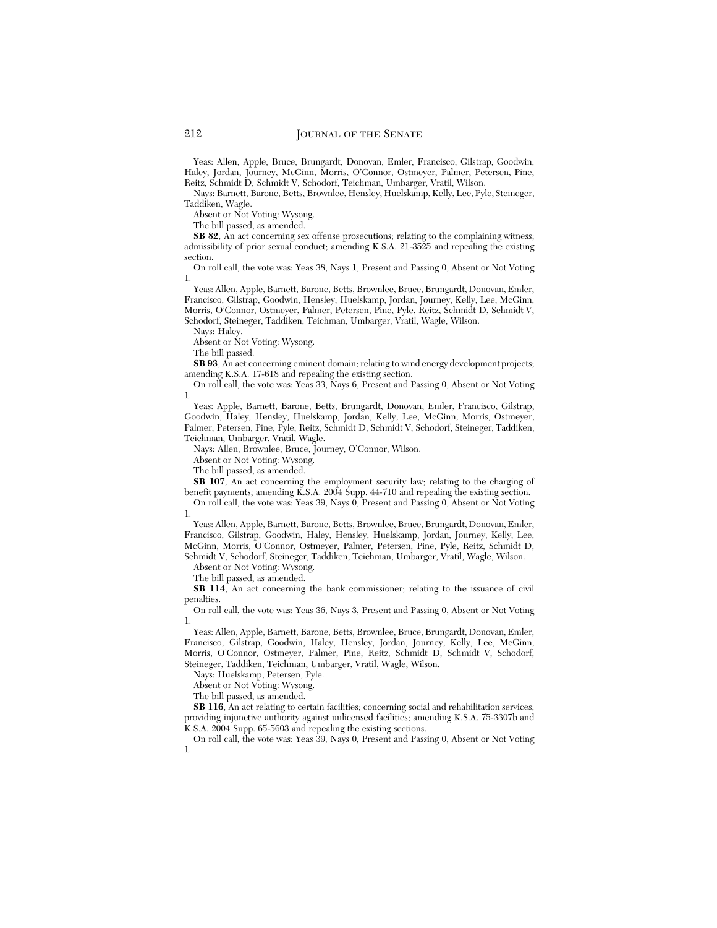Yeas: Allen, Apple, Bruce, Brungardt, Donovan, Emler, Francisco, Gilstrap, Goodwin, Haley, Jordan, Journey, McGinn, Morris, O'Connor, Ostmeyer, Palmer, Petersen, Pine, Reitz, Schmidt D, Schmidt V, Schodorf, Teichman, Umbarger, Vratil, Wilson.

Nays: Barnett, Barone, Betts, Brownlee, Hensley, Huelskamp, Kelly, Lee, Pyle, Steineger, Taddiken, Wagle.

Absent or Not Voting: Wysong.

The bill passed, as amended.

**SB 82**, An act concerning sex offense prosecutions; relating to the complaining witness; admissibility of prior sexual conduct; amending K.S.A. 21-3525 and repealing the existing section.

On roll call, the vote was: Yeas 38, Nays 1, Present and Passing 0, Absent or Not Voting 1.

Yeas: Allen, Apple, Barnett, Barone, Betts, Brownlee, Bruce, Brungardt, Donovan, Emler, Francisco, Gilstrap, Goodwin, Hensley, Huelskamp, Jordan, Journey, Kelly, Lee, McGinn, Morris, O'Connor, Ostmeyer, Palmer, Petersen, Pine, Pyle, Reitz, Schmidt D, Schmidt V, Schodorf, Steineger, Taddiken, Teichman, Umbarger, Vratil, Wagle, Wilson.

Nays: Haley.

Absent or Not Voting: Wysong.

The bill passed.

**SB 93**, An act concerning eminent domain; relating to wind energy development projects; amending K.S.A. 17-618 and repealing the existing section.

On roll call, the vote was: Yeas 33, Nays 6, Present and Passing 0, Absent or Not Voting 1.

Yeas: Apple, Barnett, Barone, Betts, Brungardt, Donovan, Emler, Francisco, Gilstrap, Goodwin, Haley, Hensley, Huelskamp, Jordan, Kelly, Lee, McGinn, Morris, Ostmeyer, Palmer, Petersen, Pine, Pyle, Reitz, Schmidt D, Schmidt V, Schodorf, Steineger, Taddiken, Teichman, Umbarger, Vratil, Wagle.

Nays: Allen, Brownlee, Bruce, Journey, O'Connor, Wilson.

Absent or Not Voting: Wysong.

The bill passed, as amended.

**SB 107**, An act concerning the employment security law; relating to the charging of benefit payments; amending K.S.A. 2004 Supp. 44-710 and repealing the existing section.

On roll call, the vote was: Yeas 39, Nays 0, Present and Passing 0, Absent or Not Voting 1.

Yeas: Allen, Apple, Barnett, Barone, Betts, Brownlee, Bruce, Brungardt, Donovan, Emler, Francisco, Gilstrap, Goodwin, Haley, Hensley, Huelskamp, Jordan, Journey, Kelly, Lee, McGinn, Morris, O'Connor, Ostmeyer, Palmer, Petersen, Pine, Pyle, Reitz, Schmidt D, Schmidt V, Schodorf, Steineger, Taddiken, Teichman, Umbarger, Vratil, Wagle, Wilson.

Absent or Not Voting: Wysong.

The bill passed, as amended.

**SB 114**, An act concerning the bank commissioner; relating to the issuance of civil penalties.

On roll call, the vote was: Yeas 36, Nays 3, Present and Passing 0, Absent or Not Voting 1.

Yeas: Allen, Apple, Barnett, Barone, Betts, Brownlee, Bruce, Brungardt, Donovan, Emler, Francisco, Gilstrap, Goodwin, Haley, Hensley, Jordan, Journey, Kelly, Lee, McGinn, Morris, O'Connor, Ostmeyer, Palmer, Pine, Reitz, Schmidt D, Schmidt V, Schodorf, Steineger, Taddiken, Teichman, Umbarger, Vratil, Wagle, Wilson.

Nays: Huelskamp, Petersen, Pyle.

Absent or Not Voting: Wysong.

The bill passed, as amended.

**SB 116**, An act relating to certain facilities; concerning social and rehabilitation services; providing injunctive authority against unlicensed facilities; amending K.S.A. 75-3307b and K.S.A. 2004 Supp. 65-5603 and repealing the existing sections.

On roll call, the vote was: Yeas 39, Nays 0, Present and Passing 0, Absent or Not Voting 1.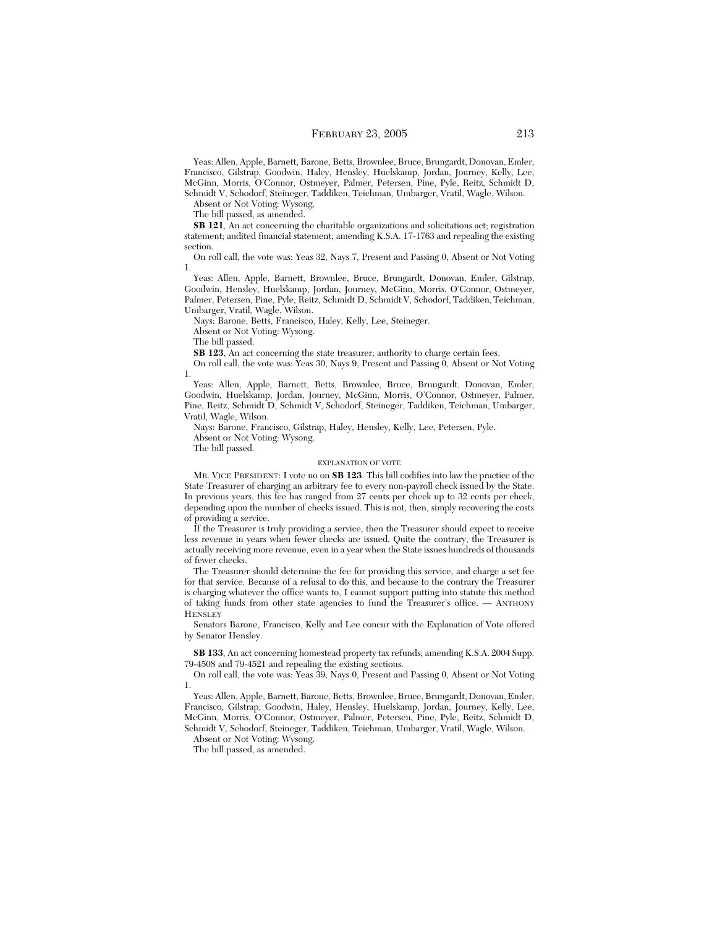Yeas: Allen, Apple, Barnett, Barone, Betts, Brownlee, Bruce, Brungardt, Donovan, Emler, Francisco, Gilstrap, Goodwin, Haley, Hensley, Huelskamp, Jordan, Journey, Kelly, Lee, McGinn, Morris, O'Connor, Ostmeyer, Palmer, Petersen, Pine, Pyle, Reitz, Schmidt D, Schmidt V, Schodorf, Steineger, Taddiken, Teichman, Umbarger, Vratil, Wagle, Wilson.

Absent or Not Voting: Wysong.

The bill passed, as amended.

**SB 121**, An act concerning the charitable organizations and solicitations act; registration statement; audited financial statement; amending K.S.A. 17-1763 and repealing the existing section.

On roll call, the vote was: Yeas 32, Nays 7, Present and Passing 0, Absent or Not Voting 1.

Yeas: Allen, Apple, Barnett, Brownlee, Bruce, Brungardt, Donovan, Emler, Gilstrap, Goodwin, Hensley, Huelskamp, Jordan, Journey, McGinn, Morris, O'Connor, Ostmeyer, Palmer, Petersen, Pine, Pyle, Reitz, Schmidt D, Schmidt V, Schodorf, Taddiken, Teichman, Umbarger, Vratil, Wagle, Wilson.

Nays: Barone, Betts, Francisco, Haley, Kelly, Lee, Steineger.

Absent or Not Voting: Wysong.

The bill passed.

**SB 123**, An act concerning the state treasurer; authority to charge certain fees.

On roll call, the vote was: Yeas 30, Nays 9, Present and Passing 0, Absent or Not Voting 1.

Yeas: Allen, Apple, Barnett, Betts, Brownlee, Bruce, Brungardt, Donovan, Emler, Goodwin, Huelskamp, Jordan, Journey, McGinn, Morris, O'Connor, Ostmeyer, Palmer, Pine, Reitz, Schmidt D, Schmidt V, Schodorf, Steineger, Taddiken, Teichman, Umbarger, Vratil, Wagle, Wilson.

Nays: Barone, Francisco, Gilstrap, Haley, Hensley, Kelly, Lee, Petersen, Pyle.

Absent or Not Voting: Wysong.

The bill passed.

#### EXPLANATION OF VOTE

MR. VICE PRESIDENT: I vote no on **SB 123**. This bill codifies into law the practice of the State Treasurer of charging an arbitrary fee to every non-payroll check issued by the State. In previous years, this fee has ranged from 27 cents per check up to 32 cents per check, depending upon the number of checks issued. This is not, then, simply recovering the costs of providing a service.

If the Treasurer is truly providing a service, then the Treasurer should expect to receive less revenue in years when fewer checks are issued. Quite the contrary, the Treasurer is actually receiving more revenue, even in a year when the State issues hundreds of thousands of fewer checks.

The Treasurer should determine the fee for providing this service, and charge a set fee for that service. Because of a refusal to do this, and because to the contrary the Treasurer is charging whatever the office wants to, I cannot support putting into statute this method of taking funds from other state agencies to fund the Treasurer's office. — ANTHONY **HENSLEY** 

Senators Barone, Francisco, Kelly and Lee concur with the Explanation of Vote offered by Senator Hensley.

**SB 133**, An act concerning homestead property tax refunds; amending K.S.A. 2004 Supp. 79-4508 and 79-4521 and repealing the existing sections.

On roll call, the vote was: Yeas 39, Nays 0, Present and Passing 0, Absent or Not Voting 1.

Yeas: Allen, Apple, Barnett, Barone, Betts, Brownlee, Bruce, Brungardt, Donovan, Emler, Francisco, Gilstrap, Goodwin, Haley, Hensley, Huelskamp, Jordan, Journey, Kelly, Lee, McGinn, Morris, O'Connor, Ostmeyer, Palmer, Petersen, Pine, Pyle, Reitz, Schmidt D, Schmidt V, Schodorf, Steineger, Taddiken, Teichman, Umbarger, Vratil, Wagle, Wilson.

Absent or Not Voting: Wysong.

The bill passed, as amended.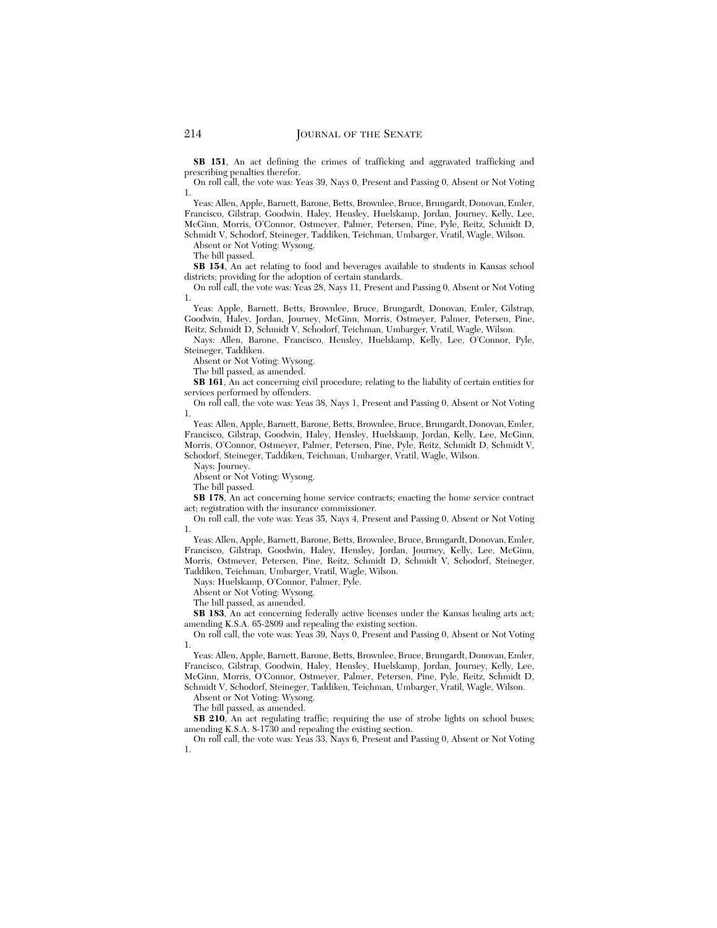**SB 151**, An act defining the crimes of trafficking and aggravated trafficking and prescribing penalties therefor.

On roll call, the vote was: Yeas 39, Nays 0, Present and Passing 0, Absent or Not Voting 1.

Yeas: Allen, Apple, Barnett, Barone, Betts, Brownlee, Bruce, Brungardt, Donovan, Emler, Francisco, Gilstrap, Goodwin, Haley, Hensley, Huelskamp, Jordan, Journey, Kelly, Lee, McGinn, Morris, O'Connor, Ostmeyer, Palmer, Petersen, Pine, Pyle, Reitz, Schmidt D, Schmidt V, Schodorf, Steineger, Taddiken, Teichman, Umbarger, Vratil, Wagle, Wilson.

Absent or Not Voting: Wysong.

The bill passed.

**SB 154**, An act relating to food and beverages available to students in Kansas school districts; providing for the adoption of certain standards.

On roll call, the vote was: Yeas 28, Nays 11, Present and Passing 0, Absent or Not Voting 1.

Yeas: Apple, Barnett, Betts, Brownlee, Bruce, Brungardt, Donovan, Emler, Gilstrap, Goodwin, Haley, Jordan, Journey, McGinn, Morris, Ostmeyer, Palmer, Petersen, Pine, Reitz, Schmidt D, Schmidt V, Schodorf, Teichman, Umbarger, Vratil, Wagle, Wilson.

Nays: Allen, Barone, Francisco, Hensley, Huelskamp, Kelly, Lee, O'Connor, Pyle, Steineger, Taddiken.

Absent or Not Voting: Wysong.

The bill passed, as amended.

**SB 161**, An act concerning civil procedure; relating to the liability of certain entities for services performed by offenders.

On roll call, the vote was: Yeas 38, Nays 1, Present and Passing 0, Absent or Not Voting 1.

Yeas: Allen, Apple, Barnett, Barone, Betts, Brownlee, Bruce, Brungardt, Donovan, Emler, Francisco, Gilstrap, Goodwin, Haley, Hensley, Huelskamp, Jordan, Kelly, Lee, McGinn, Morris, O'Connor, Ostmeyer, Palmer, Petersen, Pine, Pyle, Reitz, Schmidt D, Schmidt V, Schodorf, Steineger, Taddiken, Teichman, Umbarger, Vratil, Wagle, Wilson.

Nays: Journey.

Absent or Not Voting: Wysong.

The bill passed.

**SB 178**, An act concerning home service contracts; enacting the home service contract act; registration with the insurance commissioner.

On roll call, the vote was: Yeas 35, Nays 4, Present and Passing 0, Absent or Not Voting 1.

Yeas: Allen, Apple, Barnett, Barone, Betts, Brownlee, Bruce, Brungardt, Donovan, Emler, Francisco, Gilstrap, Goodwin, Haley, Hensley, Jordan, Journey, Kelly, Lee, McGinn, Morris, Ostmeyer, Petersen, Pine, Reitz, Schmidt D, Schmidt V, Schodorf, Steineger, Taddiken, Teichman, Umbarger, Vratil, Wagle, Wilson.

Nays: Huelskamp, O'Connor, Palmer, Pyle.

Absent or Not Voting: Wysong.

The bill passed, as amended.

**SB 183**, An act concerning federally active licenses under the Kansas healing arts act; amending K.S.A. 65-2809 and repealing the existing section.

On roll call, the vote was: Yeas 39, Nays 0, Present and Passing 0, Absent or Not Voting 1.

Yeas: Allen, Apple, Barnett, Barone, Betts, Brownlee, Bruce, Brungardt, Donovan, Emler, Francisco, Gilstrap, Goodwin, Haley, Hensley, Huelskamp, Jordan, Journey, Kelly, Lee, McGinn, Morris, O'Connor, Ostmeyer, Palmer, Petersen, Pine, Pyle, Reitz, Schmidt D, Schmidt V, Schodorf, Steineger, Taddiken, Teichman, Umbarger, Vratil, Wagle, Wilson.

Absent or Not Voting: Wysong.

The bill passed, as amended.

**SB 210**, An act regulating traffic; requiring the use of strobe lights on school buses; amending K.S.A. 8-1730 and repealing the existing section.

On roll call, the vote was: Yeas 33, Nays 6, Present and Passing 0, Absent or Not Voting 1.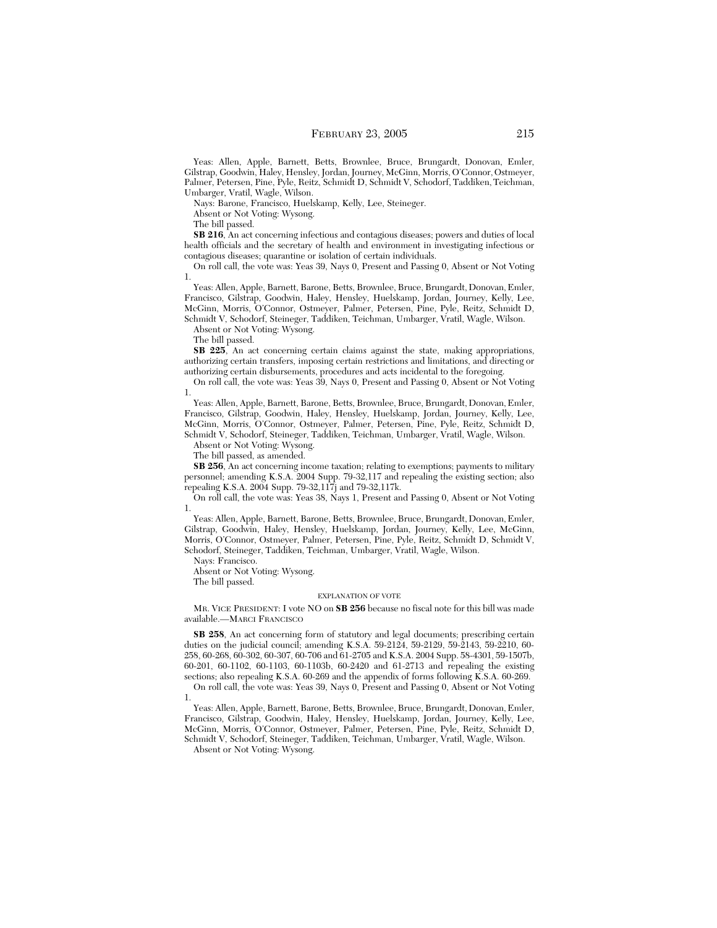Yeas: Allen, Apple, Barnett, Betts, Brownlee, Bruce, Brungardt, Donovan, Emler, Gilstrap, Goodwin, Haley, Hensley, Jordan, Journey, McGinn, Morris, O'Connor, Ostmeyer, Palmer, Petersen, Pine, Pyle, Reitz, Schmidt D, Schmidt V, Schodorf, Taddiken, Teichman, Umbarger, Vratil, Wagle, Wilson.

Nays: Barone, Francisco, Huelskamp, Kelly, Lee, Steineger.

Absent or Not Voting: Wysong.

The bill passed.

**SB 216**, An act concerning infectious and contagious diseases; powers and duties of local health officials and the secretary of health and environment in investigating infectious or contagious diseases; quarantine or isolation of certain individuals.

On roll call, the vote was: Yeas 39, Nays 0, Present and Passing 0, Absent or Not Voting 1.

Yeas: Allen, Apple, Barnett, Barone, Betts, Brownlee, Bruce, Brungardt, Donovan, Emler, Francisco, Gilstrap, Goodwin, Haley, Hensley, Huelskamp, Jordan, Journey, Kelly, Lee, McGinn, Morris, O'Connor, Ostmeyer, Palmer, Petersen, Pine, Pyle, Reitz, Schmidt D, Schmidt V, Schodorf, Steineger, Taddiken, Teichman, Umbarger, Vratil, Wagle, Wilson.

Absent or Not Voting: Wysong.

The bill passed.

**SB 225**, An act concerning certain claims against the state, making appropriations, authorizing certain transfers, imposing certain restrictions and limitations, and directing or authorizing certain disbursements, procedures and acts incidental to the foregoing.

On roll call, the vote was: Yeas 39, Nays 0, Present and Passing 0, Absent or Not Voting 1.

Yeas: Allen, Apple, Barnett, Barone, Betts, Brownlee, Bruce, Brungardt, Donovan, Emler, Francisco, Gilstrap, Goodwin, Haley, Hensley, Huelskamp, Jordan, Journey, Kelly, Lee, McGinn, Morris, O'Connor, Ostmeyer, Palmer, Petersen, Pine, Pyle, Reitz, Schmidt D, Schmidt V, Schodorf, Steineger, Taddiken, Teichman, Umbarger, Vratil, Wagle, Wilson.

Absent or Not Voting: Wysong.

The bill passed, as amended.

**SB 256**, An act concerning income taxation; relating to exemptions; payments to military personnel; amending K.S.A. 2004 Supp. 79-32,117 and repealing the existing section; also repealing K.S.A. 2004 Supp. 79-32,117j and 79-32,117k.

On roll call, the vote was: Yeas 38, Nays 1, Present and Passing 0, Absent or Not Voting 1.

Yeas: Allen, Apple, Barnett, Barone, Betts, Brownlee, Bruce, Brungardt, Donovan, Emler, Gilstrap, Goodwin, Haley, Hensley, Huelskamp, Jordan, Journey, Kelly, Lee, McGinn, Morris, O'Connor, Ostmeyer, Palmer, Petersen, Pine, Pyle, Reitz, Schmidt D, Schmidt V, Schodorf, Steineger, Taddiken, Teichman, Umbarger, Vratil, Wagle, Wilson.

Nays: Francisco.

Absent or Not Voting: Wysong.

The bill passed.

#### EXPLANATION OF VOTE

MR. VICE PRESIDENT: I vote NO on **SB 256** because no fiscal note for this bill was made available.—MARCI FRANCISCO

**SB 258**, An act concerning form of statutory and legal documents; prescribing certain duties on the judicial council; amending K.S.A. 59-2124, 59-2129, 59-2143, 59-2210, 60- 258, 60-268, 60-302, 60-307, 60-706 and 61-2705 and K.S.A. 2004 Supp. 58-4301, 59-1507b, 60-201, 60-1102, 60-1103, 60-1103b, 60-2420 and 61-2713 and repealing the existing sections; also repealing K.S.A. 60-269 and the appendix of forms following K.S.A. 60-269.

On roll call, the vote was: Yeas 39, Nays 0, Present and Passing 0, Absent or Not Voting 1.

Yeas: Allen, Apple, Barnett, Barone, Betts, Brownlee, Bruce, Brungardt, Donovan, Emler, Francisco, Gilstrap, Goodwin, Haley, Hensley, Huelskamp, Jordan, Journey, Kelly, Lee, McGinn, Morris, O'Connor, Ostmeyer, Palmer, Petersen, Pine, Pyle, Reitz, Schmidt D, Schmidt V, Schodorf, Steineger, Taddiken, Teichman, Umbarger, Vratil, Wagle, Wilson.

Absent or Not Voting: Wysong.